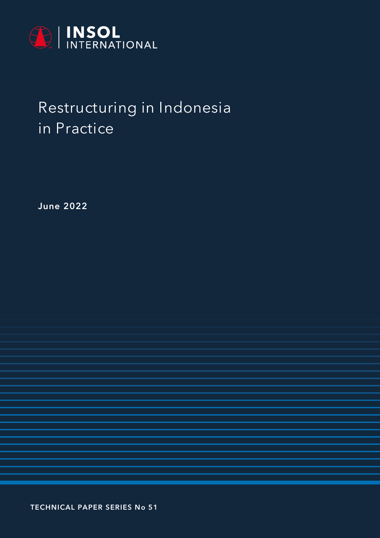

# **Restructuring in Indonesia in Practice**

**June 2022**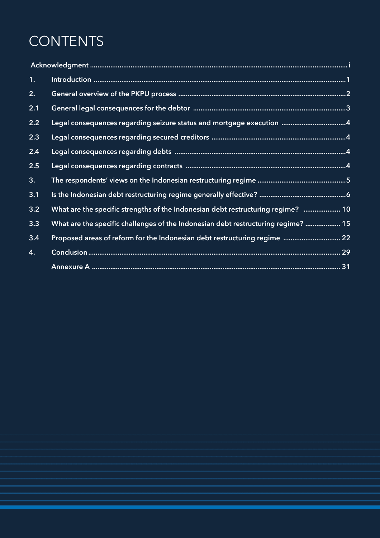# **CONTENTS**

| 1.               |                                                                                   |  |
|------------------|-----------------------------------------------------------------------------------|--|
| 2.               |                                                                                   |  |
| 2.1              |                                                                                   |  |
| 2.2              | Legal consequences regarding seizure status and mortgage execution  4             |  |
| 2.3              |                                                                                   |  |
| 2.4              |                                                                                   |  |
| 2.5              |                                                                                   |  |
| 3.               |                                                                                   |  |
| 3.1              |                                                                                   |  |
| $3.\overline{2}$ | What are the specific strengths of the Indonesian debt restructuring regime?  10  |  |
| 3.3              | What are the specific challenges of the Indonesian debt restructuring regime?  15 |  |
| 3.4              | Proposed areas of reform for the Indonesian debt restructuring regime  22         |  |
| 4.               |                                                                                   |  |
|                  |                                                                                   |  |

2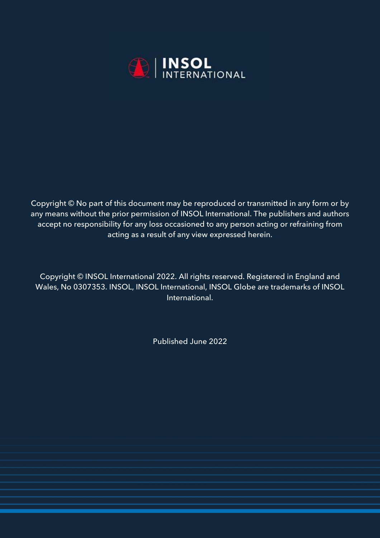

Copyright © No part of this document may be reproduced or transmitted in any form or by any means without the prior permission of INSOL International. The publishers and authors accept no responsibility for any loss occasioned to any person acting or refraining from acting as a result of any view expressed herein.

Copyright © INSOL International 2022. All rights reserved. Registered in England and Wales, No 0307353. INSOL, INSOL International, INSOL Globe are trademarks of INSOL International.

Published June 2022

3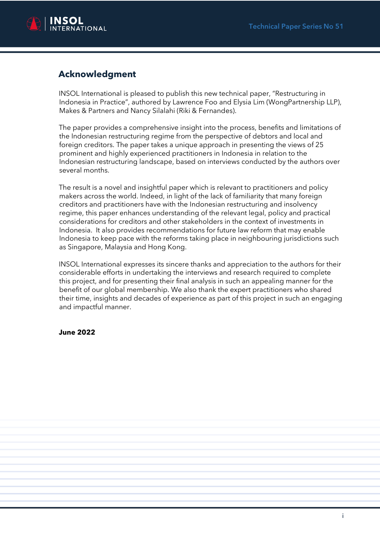

# **Acknowledgment**

INSOL International is pleased to publish this new technical paper, "Restructuring in Indonesia in Practice", authored by Lawrence Foo and Elysia Lim (WongPartnership LLP), Makes & Partners and Nancy Silalahi (Riki & Fernandes).

The paper provides a comprehensive insight into the process, benefits and limitations of the Indonesian restructuring regime from the perspective of debtors and local and foreign creditors. The paper takes a unique approach in presenting the views of 25 prominent and highly experienced practitioners in Indonesia in relation to the Indonesian restructuring landscape, based on interviews conducted by the authors over several months.

The result is a novel and insightful paper which is relevant to practitioners and policy makers across the world. Indeed, in light of the lack of familiarity that many foreign creditors and practitioners have with the Indonesian restructuring and insolvency regime, this paper enhances understanding of the relevant legal, policy and practical considerations for creditors and other stakeholders in the context of investments in Indonesia. It also provides recommendations for future law reform that may enable Indonesia to keep pace with the reforms taking place in neighbouring jurisdictions such as Singapore, Malaysia and Hong Kong.

INSOL International expresses its sincere thanks and appreciation to the authors for their considerable efforts in undertaking the interviews and research required to complete this project, and for presenting their final analysis in such an appealing manner for the benefit of our global membership. We also thank the expert practitioners who shared their time, insights and decades of experience as part of this project in such an engaging and impactful manner.

#### **June 2022**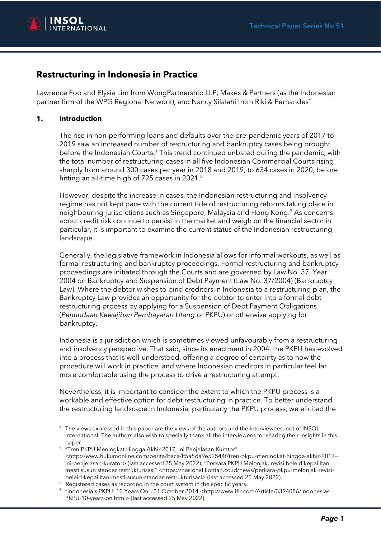

# **Restructuring in Indonesia in Practice**

Lawrence Foo and Elysia Lim from WongPartnership LLP, Makes & Partners (as the Indonesian partner firm of the WPG Regional Network), and Nancy Silalahi from Riki & Fernandes

#### **1. Introduction**

The rise in non-performing loans and defaults over the pre-pandemic years of 2017 to 2019 saw an increased number of restructuring and bankruptcy cases being brought before the Indonesian Courts.<sup>1</sup> This trend continued unbated during the pandemic, with the total number of restructuring cases in all five Indonesian Commercial Courts rising sharply from around 300 cases per year in 2018 and 2019, to 634 cases in 2020, before hitting an all-time high of 725 cases in 2021.<sup>2</sup>

However, despite the increase in cases, the Indonesian restructuring and insolvency regime has not kept pace with the current tide of restructuring reforms taking place in neighbouring jurisdictions such as Singapore, Malaysia and Hong Kong.<sup>3</sup> As concerns about credit risk continue to persist in the market and weigh on the financial sector in particular, it is important to examine the current status of the Indonesian restructuring landscape.

Generally, the legislative framework in Indonesia allows for informal workouts, as well as formal restructuring and bankruptcy proceedings. Formal restructuring and bankruptcy proceedings are initiated through the Courts and are governed by Law No. 37, Year 2004 on Bankruptcy and Suspension of Debt Payment (Law No. 37/2004) (Bankruptcy Law). Where the debtor wishes to bind creditors in Indonesia to a restructuring plan, the Bankruptcy Law provides an opportunity for the debtor to enter into a formal debt restructuring process by applying for a Suspension of Debt Payment Obligations (*Penundaan Kewajiban Pembayaran Utang* or PKPU) or otherwise applying for bankruptcy.

Indonesia is a jurisdiction which is sometimes viewed unfavourably from a restructuring and insolvency perspective. That said, since its enactment in 2004, the PKPU has evolved into a process that is well-understood, offering a degree of certainty as to how the procedure will work in practice, and where Indonesian creditors in particular feel far more comfortable using the process to drive a restructuring attempt.

Nevertheless, it is important to consider the extent to which the PKPU process is a workable and effective option for debt restructuring in practice. To better understand the restructuring landscape in Indonesia, particularly the PKPU process, we elicited the

The views expressed in this paper are the views of the authors and the interviewees, not of INSOL International. The authors also wish to specially thank all the interviewees for sharing their insights in this paper. 1 "Tren PKPU Meningkat Hingga Akhir 2017, Ini Penjelasan Kurator"

<sup>&</sup>lt;http://www.hukumonline.com/berita/baca/lt5a5da9e52544f/tren-pkpu-meningkat-hingga-akhir-2017- ini-penjelasan-kurator> (last accessed 25 May 2022); "Perkara PKPU Melonjak, revisi beleid kepailitan mesti susun standar restrukturisasi" <https://nasional.kontan.co.id/news/perkara-pkpu-melonjak-revisibeleid-kepailitan-mesti-susun-standar-restrukturisasi> (last accessed 25 May 2022).

 $2$  Registered cases as recorded in the court system in the specific years.

<sup>&</sup>lt;sup>3</sup> "Indonesia's PKPU: 10 Years On", 31 October 2014 <<u>http://www.iflr.com/Article/3394086/Indonesias-</u> PKPU-10-years-on.html> (last accessed 25 May 2022).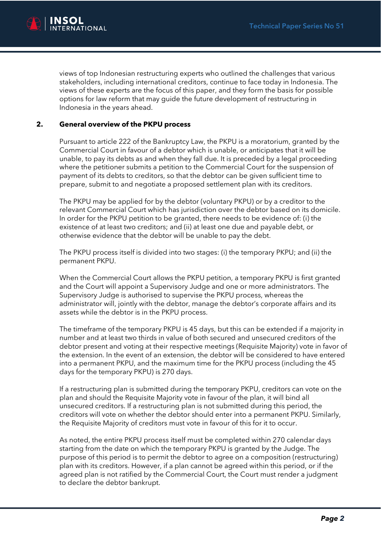

views of top Indonesian restructuring experts who outlined the challenges that various stakeholders, including international creditors, continue to face today in Indonesia. The views of these experts are the focus of this paper, and they form the basis for possible options for law reform that may guide the future development of restructuring in Indonesia in the years ahead.

#### **2. General overview of the PKPU process**

Pursuant to article 222 of the Bankruptcy Law, the PKPU is a moratorium, granted by the Commercial Court in favour of a debtor which is unable, or anticipates that it will be unable, to pay its debts as and when they fall due. It is preceded by a legal proceeding where the petitioner submits a petition to the Commercial Court for the suspension of payment of its debts to creditors, so that the debtor can be given sufficient time to prepare, submit to and negotiate a proposed settlement plan with its creditors.

The PKPU may be applied for by the debtor (voluntary PKPU) or by a creditor to the relevant Commercial Court which has jurisdiction over the debtor based on its domicile. In order for the PKPU petition to be granted, there needs to be evidence of: (i) the existence of at least two creditors; and (ii) at least one due and payable debt, or otherwise evidence that the debtor will be unable to pay the debt.

The PKPU process itself is divided into two stages: (i) the temporary PKPU; and (ii) the permanent PKPU.

When the Commercial Court allows the PKPU petition, a temporary PKPU is first granted and the Court will appoint a Supervisory Judge and one or more administrators. The Supervisory Judge is authorised to supervise the PKPU process, whereas the administrator will, jointly with the debtor, manage the debtor's corporate affairs and its assets while the debtor is in the PKPU process.

The timeframe of the temporary PKPU is 45 days, but this can be extended if a majority in number and at least two thirds in value of both secured and unsecured creditors of the debtor present and voting at their respective meetings (Requisite Majority) vote in favor of the extension. In the event of an extension, the debtor will be considered to have entered into a permanent PKPU, and the maximum time for the PKPU process (including the 45 days for the temporary PKPU) is 270 days.

If a restructuring plan is submitted during the temporary PKPU, creditors can vote on the plan and should the Requisite Majority vote in favour of the plan, it will bind all unsecured creditors. If a restructuring plan is not submitted during this period, the creditors will vote on whether the debtor should enter into a permanent PKPU. Similarly, the Requisite Majority of creditors must vote in favour of this for it to occur.

As noted, the entire PKPU process itself must be completed within 270 calendar days starting from the date on which the temporary PKPU is granted by the Judge. The purpose of this period is to permit the debtor to agree on a composition (restructuring) plan with its creditors. However, if a plan cannot be agreed within this period, or if the agreed plan is not ratified by the Commercial Court, the Court must render a judgment to declare the debtor bankrupt.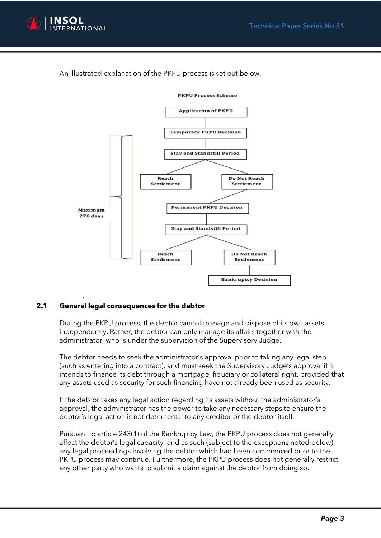

An illustrated explanation of the PKPU process is set out below.



**PKPU Process Scheme** 

#### **2.1 General legal consequences for the debtor**

During the PKPU process, the debtor cannot manage and dispose of its own assets independently. Rather, the debtor can only manage its affairs together with the administrator, who is under the supervision of the Supervisory Judge.

The debtor needs to seek the administrator's approval prior to taking any legal step (such as entering into a contract), and must seek the Supervisory Judge's approval if it intends to finance its debt through a mortgage, fiduciary or collateral right, provided that any assets used as security for such financing have not already been used as security.

If the debtor takes any legal action regarding its assets without the administrator's approval, the administrator has the power to take any necessary steps to ensure the debtor's legal action is not detrimental to any creditor or the debtor itself.

Pursuant to article 243(1) of the Bankruptcy Law, the PKPU process does not generally affect the debtor's legal capacity, and as such (subject to the exceptions noted below), any legal proceedings involving the debtor which had been commenced prior to the PKPU process may continue. Furthermore, the PKPU process does not generally restrict any other party who wants to submit a claim against the debtor from doing so.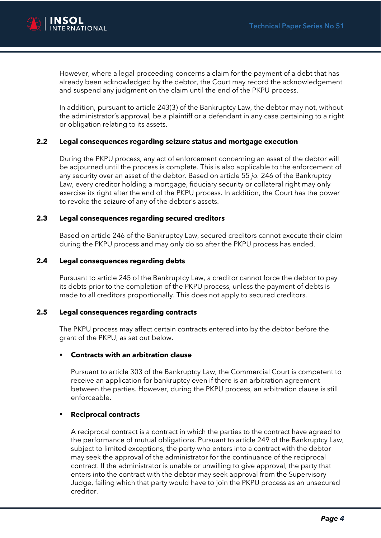

However, where a legal proceeding concerns a claim for the payment of a debt that has already been acknowledged by the debtor, the Court may record the acknowledgement and suspend any judgment on the claim until the end of the PKPU process.

In addition, pursuant to article 243(3) of the Bankruptcy Law, the debtor may not, without the administrator's approval, be a plaintiff or a defendant in any case pertaining to a right or obligation relating to its assets.

#### **2.2 Legal consequences regarding seizure status and mortgage execution**

During the PKPU process, any act of enforcement concerning an asset of the debtor will be adjourned until the process is complete. This is also applicable to the enforcement of any security over an asset of the debtor. Based on article 55 *jo.* 246 of the Bankruptcy Law, every creditor holding a mortgage, fiduciary security or collateral right may only exercise its right after the end of the PKPU process. In addition, the Court has the power to revoke the seizure of any of the debtor's assets.

#### **2.3 Legal consequences regarding secured creditors**

Based on article 246 of the Bankruptcy Law, secured creditors cannot execute their claim during the PKPU process and may only do so after the PKPU process has ended.

#### **2.4 Legal consequences regarding debts**

Pursuant to article 245 of the Bankruptcy Law, a creditor cannot force the debtor to pay its debts prior to the completion of the PKPU process, unless the payment of debts is made to all creditors proportionally. This does not apply to secured creditors.

#### **2.5 Legal consequences regarding contracts**

The PKPU process may affect certain contracts entered into by the debtor before the grant of the PKPU, as set out below.

#### **Contracts with an arbitration clause**

Pursuant to article 303 of the Bankruptcy Law, the Commercial Court is competent to receive an application for bankruptcy even if there is an arbitration agreement between the parties. However, during the PKPU process, an arbitration clause is still enforceable.

#### **Reciprocal contracts**

A reciprocal contract is a contract in which the parties to the contract have agreed to the performance of mutual obligations. Pursuant to article 249 of the Bankruptcy Law, subject to limited exceptions, the party who enters into a contract with the debtor may seek the approval of the administrator for the continuance of the reciprocal contract. If the administrator is unable or unwilling to give approval, the party that enters into the contract with the debtor may seek approval from the Supervisory Judge, failing which that party would have to join the PKPU process as an unsecured creditor.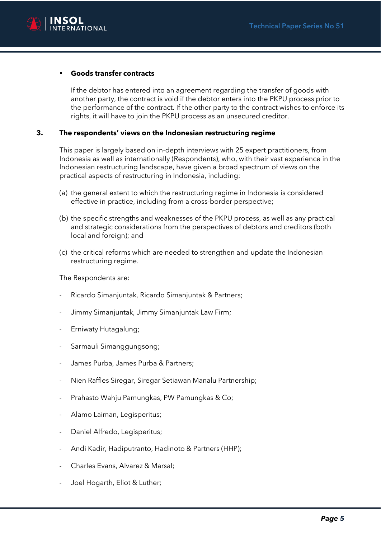

#### ▪ **Goods transfer contracts**

If the debtor has entered into an agreement regarding the transfer of goods with another party, the contract is void if the debtor enters into the PKPU process prior to the performance of the contract. If the other party to the contract wishes to enforce its rights, it will have to join the PKPU process as an unsecured creditor.

#### **3. The respondents' views on the Indonesian restructuring regime**

This paper is largely based on in-depth interviews with 25 expert practitioners, from Indonesia as well as internationally (Respondents), who, with their vast experience in the Indonesian restructuring landscape, have given a broad spectrum of views on the practical aspects of restructuring in Indonesia, including:

- (a) the general extent to which the restructuring regime in Indonesia is considered effective in practice, including from a cross-border perspective;
- (b) the specific strengths and weaknesses of the PKPU process, as well as any practical and strategic considerations from the perspectives of debtors and creditors (both local and foreign); and
- (c) the critical reforms which are needed to strengthen and update the Indonesian restructuring regime.

The Respondents are:

- Ricardo Simanjuntak, Ricardo Simanjuntak & Partners;
- Jimmy Simanjuntak, Jimmy Simanjuntak Law Firm;
- Erniwaty Hutagalung;
- Sarmauli Simanggungsong;
- James Purba, James Purba & Partners;
- Nien Raffles Siregar, Siregar Setiawan Manalu Partnership;
- Prahasto Wahju Pamungkas, PW Pamungkas & Co;
- Alamo Laiman, Legisperitus;
- Daniel Alfredo, Legisperitus;
- Andi Kadir, Hadiputranto, Hadinoto & Partners (HHP);
- Charles Evans, Alvarez & Marsal;
- Joel Hogarth, Eliot & Luther;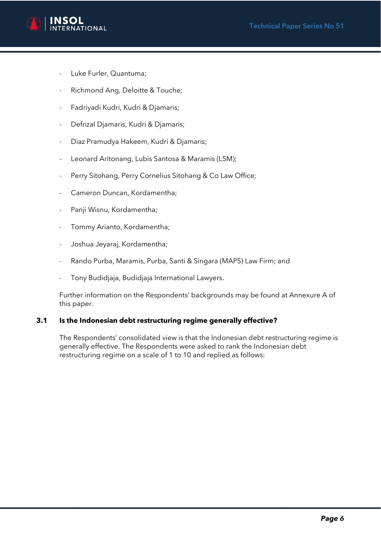

- Luke Furler, Quantuma;
- Richmond Ang, Deloitte & Touche;
- Fadriyadi Kudri, Kudri & Djamaris;
- Defrizal Djamaris, Kudri & Djamaris;
- Diaz Pramudya Hakeem, Kudri & Djamaris;
- Leonard Aritonang, Lubis Santosa & Maramis (LSM);
- Perry Sitohang, Perry Cornelius Sitohang & Co Law Office;
- Cameron Duncan, Kordamentha;
- Panji Wisnu, Kordamentha;
- Tommy Arianto, Kordamentha;
- Joshua Jeyaraj, Kordamentha;
- Rando Purba, Maramis, Purba, Santi & Singara (MAPS) Law Firm; and
- Tony Budidjaja, Budidjaja International Lawyers.

Further information on the Respondents' backgrounds may be found at Annexure A of this paper.

#### **3.1 Is the Indonesian debt restructuring regime generally effective?**

The Respondents' consolidated view is that the Indonesian debt restructuring regime is generally effective. The Respondents were asked to rank the Indonesian debt restructuring regime on a scale of 1 to 10 and replied as follows: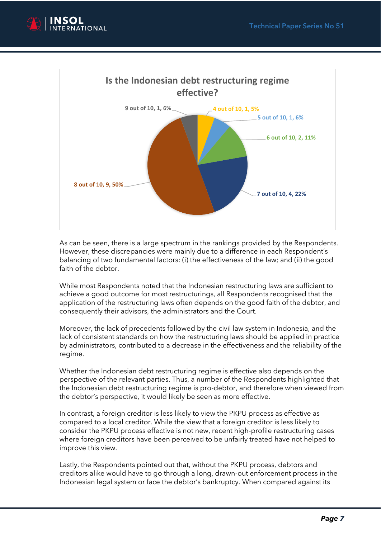



As can be seen, there is a large spectrum in the rankings provided by the Respondents. However, these discrepancies were mainly due to a difference in each Respondent's balancing of two fundamental factors: (i) the effectiveness of the law; and (ii) the good faith of the debtor.

While most Respondents noted that the Indonesian restructuring laws are sufficient to achieve a good outcome for most restructurings, all Respondents recognised that the application of the restructuring laws often depends on the good faith of the debtor, and consequently their advisors, the administrators and the Court.

Moreover, the lack of precedents followed by the civil law system in Indonesia, and the lack of consistent standards on how the restructuring laws should be applied in practice by administrators, contributed to a decrease in the effectiveness and the reliability of the regime.

Whether the Indonesian debt restructuring regime is effective also depends on the perspective of the relevant parties. Thus, a number of the Respondents highlighted that the Indonesian debt restructuring regime is pro-debtor, and therefore when viewed from the debtor's perspective, it would likely be seen as more effective.

In contrast, a foreign creditor is less likely to view the PKPU process as effective as compared to a local creditor. While the view that a foreign creditor is less likely to consider the PKPU process effective is not new, recent high-profile restructuring cases where foreign creditors have been perceived to be unfairly treated have not helped to improve this view.

Lastly, the Respondents pointed out that, without the PKPU process, debtors and creditors alike would have to go through a long, drawn-out enforcement process in the Indonesian legal system or face the debtor's bankruptcy. When compared against its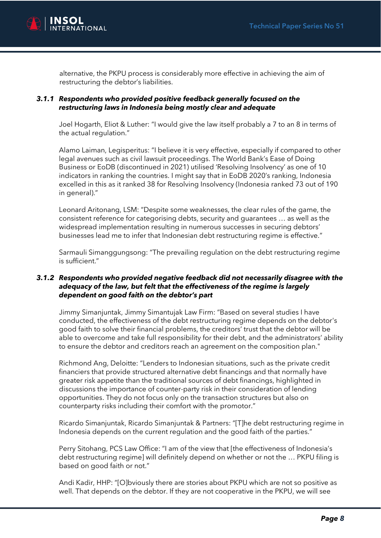

alternative, the PKPU process is considerably more effective in achieving the aim of restructuring the debtor's liabilities.

#### *3.1.1 Respondents who provided positive feedback generally focused on the restructuring laws in Indonesia being mostly clear and adequate*

Joel Hogarth, Eliot & Luther: "I would give the law itself probably a 7 to an 8 in terms of the actual regulation."

Alamo Laiman, Legisperitus: "I believe it is very effective, especially if compared to other legal avenues such as civil lawsuit proceedings. The World Bank's Ease of Doing Business or EoDB (discontinued in 2021) utilised 'Resolving Insolvency' as one of 10 indicators in ranking the countries. I might say that in EoDB 2020's ranking, Indonesia excelled in this as it ranked 38 for Resolving Insolvency (Indonesia ranked 73 out of 190 in general)."

Leonard Aritonang, LSM: "Despite some weaknesses, the clear rules of the game, the consistent reference for categorising debts, security and guarantees … as well as the widespread implementation resulting in numerous successes in securing debtors' businesses lead me to infer that Indonesian debt restructuring regime is effective."

Sarmauli Simanggungsong: "The prevailing regulation on the debt restructuring regime is sufficient."

#### *3.1.2 Respondents who provided negative feedback did not necessarily disagree with the adequacy of the law, but felt that the effectiveness of the regime is largely dependent on good faith on the debtor's part*

Jimmy Simanjuntak, Jimmy Simantujak Law Firm: "Based on several studies I have conducted, the effectiveness of the debt restructuring regime depends on the debtor's good faith to solve their financial problems, the creditors' trust that the debtor will be able to overcome and take full responsibility for their debt, and the administrators' ability to ensure the debtor and creditors reach an agreement on the composition plan."

Richmond Ang, Deloitte: "Lenders to Indonesian situations, such as the private credit financiers that provide structured alternative debt financings and that normally have greater risk appetite than the traditional sources of debt financings, highlighted in discussions the importance of counter-party risk in their consideration of lending opportunities. They do not focus only on the transaction structures but also on counterparty risks including their comfort with the promotor."

Ricardo Simanjuntak, Ricardo Simanjuntak & Partners: "[T]he debt restructuring regime in Indonesia depends on the current regulation and the good faith of the parties."

Perry Sitohang, PCS Law Office: "I am of the view that [the effectiveness of Indonesia's debt restructuring regime] will definitely depend on whether or not the … PKPU filing is based on good faith or not."

Andi Kadir, HHP: "[O]bviously there are stories about PKPU which are not so positive as well. That depends on the debtor. If they are not cooperative in the PKPU, we will see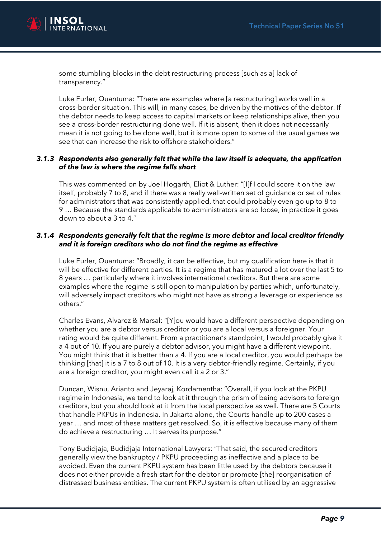

some stumbling blocks in the debt restructuring process [such as a] lack of transparency."

Luke Furler, Quantuma: "There are examples where [a restructuring] works well in a cross-border situation. This will, in many cases, be driven by the motives of the debtor. If the debtor needs to keep access to capital markets or keep relationships alive, then you see a cross-border restructuring done well. If it is absent, then it does not necessarily mean it is not going to be done well, but it is more open to some of the usual games we see that can increase the risk to offshore stakeholders."

#### *3.1.3 Respondents also generally felt that while the law itself is adequate, the application of the law is where the regime falls short*

This was commented on by Joel Hogarth, Eliot & Luther: "[I]f I could score it on the law itself, probably 7 to 8, and if there was a really well-written set of guidance or set of rules for administrators that was consistently applied, that could probably even go up to 8 to 9 … Because the standards applicable to administrators are so loose, in practice it goes down to about a 3 to 4."

#### *3.1.4 Respondents generally felt that the regime is more debtor and local creditor friendly and it is foreign creditors who do not find the regime as effective*

Luke Furler, Quantuma: "Broadly, it can be effective, but my qualification here is that it will be effective for different parties. It is a regime that has matured a lot over the last 5 to 8 years … particularly where it involves international creditors. But there are some examples where the regime is still open to manipulation by parties which, unfortunately, will adversely impact creditors who might not have as strong a leverage or experience as others."

Charles Evans, Alvarez & Marsal: "[Y]ou would have a different perspective depending on whether you are a debtor versus creditor or you are a local versus a foreigner. Your rating would be quite different. From a practitioner's standpoint, I would probably give it a 4 out of 10. If you are purely a debtor advisor, you might have a different viewpoint. You might think that it is better than a 4. If you are a local creditor, you would perhaps be thinking [that] it is a 7 to 8 out of 10. It is a very debtor-friendly regime. Certainly, if you are a foreign creditor, you might even call it a 2 or 3."

Duncan, Wisnu, Arianto and Jeyaraj, Kordamentha: "Overall, if you look at the PKPU regime in Indonesia, we tend to look at it through the prism of being advisors to foreign creditors, but you should look at it from the local perspective as well. There are 5 Courts that handle PKPUs in Indonesia. In Jakarta alone, the Courts handle up to 200 cases a year … and most of these matters get resolved. So, it is effective because many of them do achieve a restructuring … It serves its purpose."

Tony Budidjaja, Budidjaja International Lawyers: "That said, the secured creditors generally view the bankruptcy / PKPU proceeding as ineffective and a place to be avoided. Even the current PKPU system has been little used by the debtors because it does not either provide a fresh start for the debtor or promote [the] reorganisation of distressed business entities. The current PKPU system is often utilised by an aggressive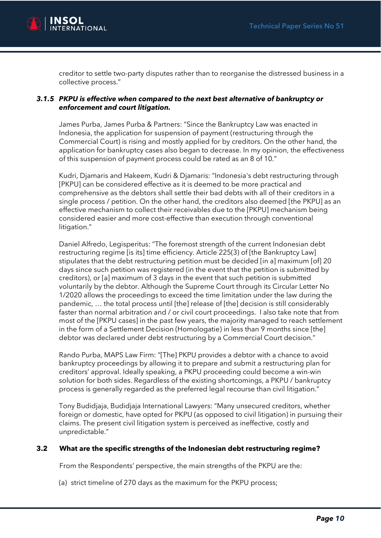

creditor to settle two-party disputes rather than to reorganise the distressed business in a collective process."

#### *3.1.5 PKPU is effective when compared to the next best alternative of bankruptcy or enforcement and court litigation.*

James Purba, James Purba & Partners: "Since the Bankruptcy Law was enacted in Indonesia, the application for suspension of payment (restructuring through the Commercial Court) is rising and mostly applied for by creditors. On the other hand, the application for bankruptcy cases also began to decrease. In my opinion, the effectiveness of this suspension of payment process could be rated as an 8 of 10."

Kudri, Djamaris and Hakeem, Kudri & Djamaris: "Indonesia's debt restructuring through [PKPU] can be considered effective as it is deemed to be more practical and comprehensive as the debtors shall settle their bad debts with all of their creditors in a single process / petition. On the other hand, the creditors also deemed [the PKPU] as an effective mechanism to collect their receivables due to the [PKPU] mechanism being considered easier and more cost-effective than execution through conventional litigation."

Daniel Alfredo, Legisperitus: "The foremost strength of the current Indonesian debt restructuring regime [is its] time efficiency. Article 225(3) of [the Bankruptcy Law] stipulates that the debt restructuring petition must be decided [in a] maximum [of] 20 days since such petition was registered (in the event that the petition is submitted by creditors), or [a] maximum of 3 days in the event that such petition is submitted voluntarily by the debtor. Although the Supreme Court through its Circular Letter No 1/2020 allows the proceedings to exceed the time limitation under the law during the pandemic, … the total process until [the] release of [the] decision is still considerably faster than normal arbitration and / or civil court proceedings. I also take note that from most of the [PKPU cases] in the past few years, the majority managed to reach settlement in the form of a Settlement Decision (Homologatie) in less than 9 months since [the] debtor was declared under debt restructuring by a Commercial Court decision."

Rando Purba, MAPS Law Firm: "[The] PKPU provides a debtor with a chance to avoid bankruptcy proceedings by allowing it to prepare and submit a restructuring plan for creditors' approval. Ideally speaking, a PKPU proceeding could become a win-win solution for both sides. Regardless of the existing shortcomings, a PKPU / bankruptcy process is generally regarded as the preferred legal recourse than civil litigation."

Tony Budidjaja, Budidjaja International Lawyers: "Many unsecured creditors, whether foreign or domestic, have opted for PKPU (as opposed to civil litigation) in pursuing their claims. The present civil litigation system is perceived as ineffective, costly and unpredictable."

#### **3.2 What are the specific strengths of the Indonesian debt restructuring regime?**

From the Respondents' perspective, the main strengths of the PKPU are the:

(a) strict timeline of 270 days as the maximum for the PKPU process;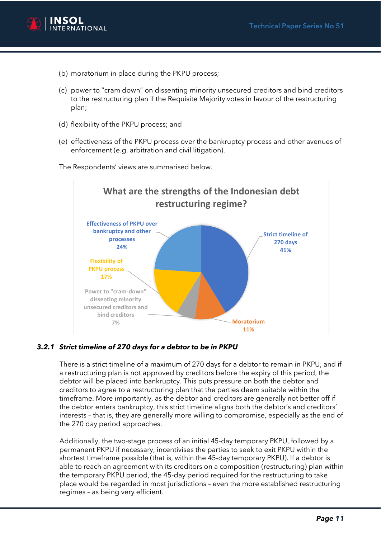

- (b) moratorium in place during the PKPU process;
- (c) power to "cram down" on dissenting minority unsecured creditors and bind creditors to the restructuring plan if the Requisite Majority votes in favour of the restructuring plan;
- (d) flexibility of the PKPU process; and
- (e) effectiveness of the PKPU process over the bankruptcy process and other avenues of enforcement (e.g. arbitration and civil litigation).





#### *3.2.1 Strict timeline of 270 days for a debtor to be in PKPU*

There is a strict timeline of a maximum of 270 days for a debtor to remain in PKPU, and if a restructuring plan is not approved by creditors before the expiry of this period, the debtor will be placed into bankruptcy. This puts pressure on both the debtor and creditors to agree to a restructuring plan that the parties deem suitable within the timeframe. More importantly, as the debtor and creditors are generally not better off if the debtor enters bankruptcy, this strict timeline aligns both the debtor's and creditors' interests – that is, they are generally more willing to compromise, especially as the end of the 270 day period approaches.

Additionally, the two-stage process of an initial 45-day temporary PKPU, followed by a permanent PKPU if necessary, incentivises the parties to seek to exit PKPU within the shortest timeframe possible (that is, within the 45-day temporary PKPU). If a debtor is able to reach an agreement with its creditors on a composition (restructuring) plan within the temporary PKPU period, the 45-day period required for the restructuring to take place would be regarded in most jurisdictions – even the more established restructuring regimes – as being very efficient.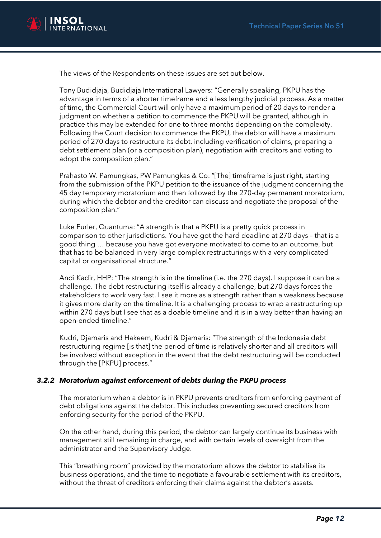

The views of the Respondents on these issues are set out below.

Tony Budidjaja, Budidjaja International Lawyers: "Generally speaking, PKPU has the advantage in terms of a shorter timeframe and a less lengthy judicial process. As a matter of time, the Commercial Court will only have a maximum period of 20 days to render a judgment on whether a petition to commence the PKPU will be granted, although in practice this may be extended for one to three months depending on the complexity. Following the Court decision to commence the PKPU, the debtor will have a maximum period of 270 days to restructure its debt, including verification of claims, preparing a debt settlement plan (or a composition plan), negotiation with creditors and voting to adopt the composition plan."

Prahasto W. Pamungkas, PW Pamungkas & Co: "[The] timeframe is just right, starting from the submission of the PKPU petition to the issuance of the judgment concerning the 45 day temporary moratorium and then followed by the 270-day permanent moratorium, during which the debtor and the creditor can discuss and negotiate the proposal of the composition plan."

Luke Furler, Quantuma: "A strength is that a PKPU is a pretty quick process in comparison to other jurisdictions. You have got the hard deadline at 270 days – that is a good thing … because you have got everyone motivated to come to an outcome, but that has to be balanced in very large complex restructurings with a very complicated capital or organisational structure."

Andi Kadir, HHP: "The strength is in the timeline (i.e. the 270 days). I suppose it can be a challenge. The debt restructuring itself is already a challenge, but 270 days forces the stakeholders to work very fast. I see it more as a strength rather than a weakness because it gives more clarity on the timeline. It is a challenging process to wrap a restructuring up within 270 days but I see that as a doable timeline and it is in a way better than having an open-ended timeline."

Kudri, Djamaris and Hakeem, Kudri & Djamaris: "The strength of the Indonesia debt restructuring regime [is that] the period of time is relatively shorter and all creditors will be involved without exception in the event that the debt restructuring will be conducted through the [PKPU] process."

#### *3.2.2 Moratorium against enforcement of debts during the PKPU process*

The moratorium when a debtor is in PKPU prevents creditors from enforcing payment of debt obligations against the debtor. This includes preventing secured creditors from enforcing security for the period of the PKPU.

On the other hand, during this period, the debtor can largely continue its business with management still remaining in charge, and with certain levels of oversight from the administrator and the Supervisory Judge.

This "breathing room" provided by the moratorium allows the debtor to stabilise its business operations, and the time to negotiate a favourable settlement with its creditors, without the threat of creditors enforcing their claims against the debtor's assets.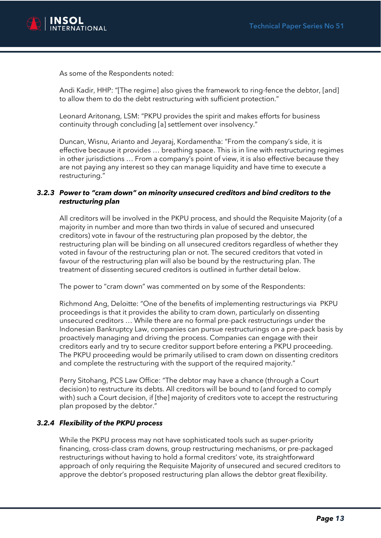

As some of the Respondents noted:

Andi Kadir, HHP: "[The regime] also gives the framework to ring-fence the debtor, [and] to allow them to do the debt restructuring with sufficient protection."

Leonard Aritonang, LSM: "PKPU provides the spirit and makes efforts for business continuity through concluding [a] settlement over insolvency."

Duncan, Wisnu, Arianto and Jeyaraj, Kordamentha: "From the company's side, it is effective because it provides … breathing space. This is in line with restructuring regimes in other jurisdictions … From a company's point of view, it is also effective because they are not paying any interest so they can manage liquidity and have time to execute a restructuring."

#### *3.2.3 Power to "cram down" on minority unsecured creditors and bind creditors to the restructuring plan*

All creditors will be involved in the PKPU process, and should the Requisite Majority (of a majority in number and more than two thirds in value of secured and unsecured creditors) vote in favour of the restructuring plan proposed by the debtor, the restructuring plan will be binding on all unsecured creditors regardless of whether they voted in favour of the restructuring plan or not. The secured creditors that voted in favour of the restructuring plan will also be bound by the restructuring plan. The treatment of dissenting secured creditors is outlined in further detail below.

The power to "cram down" was commented on by some of the Respondents:

Richmond Ang, Deloitte: "One of the benefits of implementing restructurings via PKPU proceedings is that it provides the ability to cram down, particularly on dissenting unsecured creditors … While there are no formal pre-pack restructurings under the Indonesian Bankruptcy Law, companies can pursue restructurings on a pre-pack basis by proactively managing and driving the process. Companies can engage with their creditors early and try to secure creditor support before entering a PKPU proceeding. The PKPU proceeding would be primarily utilised to cram down on dissenting creditors and complete the restructuring with the support of the required majority."

Perry Sitohang, PCS Law Office: "The debtor may have a chance (through a Court decision) to restructure its debts. All creditors will be bound to (and forced to comply with) such a Court decision, if [the] majority of creditors vote to accept the restructuring plan proposed by the debtor."

### *3.2.4 Flexibility of the PKPU process*

While the PKPU process may not have sophisticated tools such as super-priority financing, cross-class cram downs, group restructuring mechanisms, or pre-packaged restructurings without having to hold a formal creditors' vote, its straightforward approach of only requiring the Requisite Majority of unsecured and secured creditors to approve the debtor's proposed restructuring plan allows the debtor great flexibility.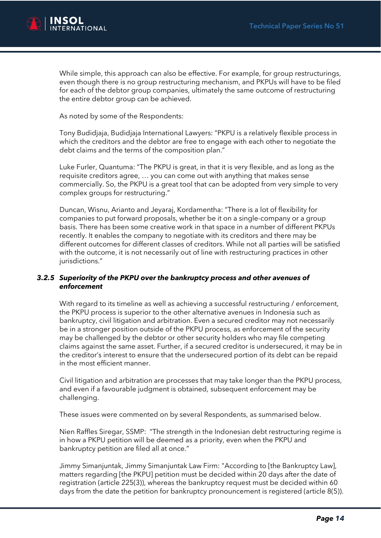

While simple, this approach can also be effective. For example, for group restructurings, even though there is no group restructuring mechanism, and PKPUs will have to be filed for each of the debtor group companies, ultimately the same outcome of restructuring the entire debtor group can be achieved.

As noted by some of the Respondents:

Tony Budidjaja, Budidjaja International Lawyers: "PKPU is a relatively flexible process in which the creditors and the debtor are free to engage with each other to negotiate the debt claims and the terms of the composition plan."

Luke Furler, Quantuma: "The PKPU is great, in that it is very flexible, and as long as the requisite creditors agree, … you can come out with anything that makes sense commercially. So, the PKPU is a great tool that can be adopted from very simple to very complex groups for restructuring."

Duncan, Wisnu, Arianto and Jeyaraj, Kordamentha: "There is a lot of flexibility for companies to put forward proposals, whether be it on a single-company or a group basis. There has been some creative work in that space in a number of different PKPUs recently. It enables the company to negotiate with its creditors and there may be different outcomes for different classes of creditors. While not all parties will be satisfied with the outcome, it is not necessarily out of line with restructuring practices in other jurisdictions."

#### *3.2.5 Superiority of the PKPU over the bankruptcy process and other avenues of enforcement*

With regard to its timeline as well as achieving a successful restructuring / enforcement, the PKPU process is superior to the other alternative avenues in Indonesia such as bankruptcy, civil litigation and arbitration. Even a secured creditor may not necessarily be in a stronger position outside of the PKPU process, as enforcement of the security may be challenged by the debtor or other security holders who may file competing claims against the same asset. Further, if a secured creditor is undersecured, it may be in the creditor's interest to ensure that the undersecured portion of its debt can be repaid in the most efficient manner.

Civil litigation and arbitration are processes that may take longer than the PKPU process, and even if a favourable judgment is obtained, subsequent enforcement may be challenging.

These issues were commented on by several Respondents, as summarised below.

Nien Raffles Siregar, SSMP: "The strength in the Indonesian debt restructuring regime is in how a PKPU petition will be deemed as a priority, even when the PKPU and bankruptcy petition are filed all at once."

Jimmy Simanjuntak, Jimmy Simanjuntak Law Firm: "According to [the Bankruptcy Law], matters regarding [the PKPU] petition must be decided within 20 days after the date of registration (article 225(3)), whereas the bankruptcy request must be decided within 60 days from the date the petition for bankruptcy pronouncement is registered (article 8(5)).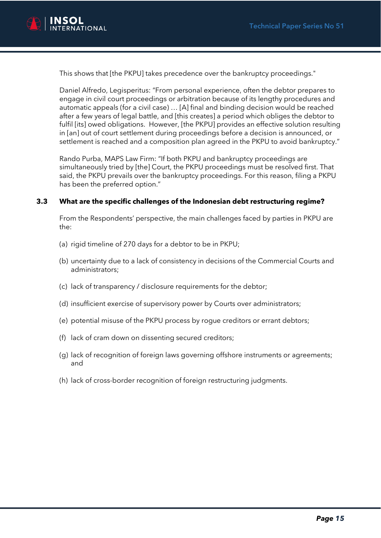

This shows that [the PKPU] takes precedence over the bankruptcy proceedings."

Daniel Alfredo, Legisperitus: "From personal experience, often the debtor prepares to engage in civil court proceedings or arbitration because of its lengthy procedures and automatic appeals (for a civil case) … [A] final and binding decision would be reached after a few years of legal battle, and [this creates] a period which obliges the debtor to fulfil [its] owed obligations. However, [the PKPU] provides an effective solution resulting in [an] out of court settlement during proceedings before a decision is announced, or settlement is reached and a composition plan agreed in the PKPU to avoid bankruptcy."

Rando Purba, MAPS Law Firm: "If both PKPU and bankruptcy proceedings are simultaneously tried by [the] Court, the PKPU proceedings must be resolved first. That said, the PKPU prevails over the bankruptcy proceedings. For this reason, filing a PKPU has been the preferred option."

#### **3.3 What are the specific challenges of the Indonesian debt restructuring regime?**

From the Respondents' perspective, the main challenges faced by parties in PKPU are the:

- (a) rigid timeline of 270 days for a debtor to be in PKPU;
- (b) uncertainty due to a lack of consistency in decisions of the Commercial Courts and administrators;
- (c) lack of transparency / disclosure requirements for the debtor;
- (d) insufficient exercise of supervisory power by Courts over administrators;
- (e) potential misuse of the PKPU process by rogue creditors or errant debtors;
- (f) lack of cram down on dissenting secured creditors;
- (g) lack of recognition of foreign laws governing offshore instruments or agreements; and
- (h) lack of cross-border recognition of foreign restructuring judgments.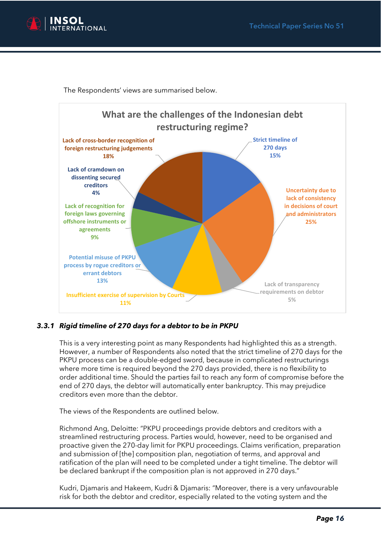

The Respondents' views are summarised below.



## *3.3.1 Rigid timeline of 270 days for a debtor to be in PKPU*

This is a very interesting point as many Respondents had highlighted this as a strength. However, a number of Respondents also noted that the strict timeline of 270 days for the PKPU process can be a double-edged sword, because in complicated restructurings where more time is required beyond the 270 days provided, there is no flexibility to order additional time. Should the parties fail to reach any form of compromise before the end of 270 days, the debtor will automatically enter bankruptcy. This may prejudice creditors even more than the debtor.

The views of the Respondents are outlined below.

Richmond Ang, Deloitte: "PKPU proceedings provide debtors and creditors with a streamlined restructuring process. Parties would, however, need to be organised and proactive given the 270-day limit for PKPU proceedings. Claims verification, preparation and submission of [the] composition plan, negotiation of terms, and approval and ratification of the plan will need to be completed under a tight timeline. The debtor will be declared bankrupt if the composition plan is not approved in 270 days."

Kudri, Djamaris and Hakeem, Kudri & Djamaris: "Moreover, there is a very unfavourable risk for both the debtor and creditor, especially related to the voting system and the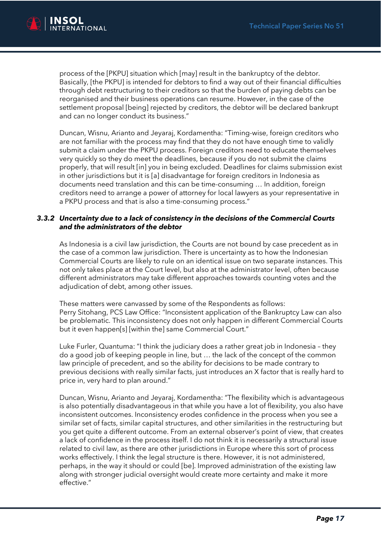

process of the [PKPU] situation which [may] result in the bankruptcy of the debtor. Basically, [the PKPU] is intended for debtors to find a way out of their financial difficulties through debt restructuring to their creditors so that the burden of paying debts can be reorganised and their business operations can resume. However, in the case of the settlement proposal [being] rejected by creditors, the debtor will be declared bankrupt and can no longer conduct its business."

Duncan, Wisnu, Arianto and Jeyaraj, Kordamentha: "Timing-wise, foreign creditors who are not familiar with the process may find that they do not have enough time to validly submit a claim under the PKPU process. Foreign creditors need to educate themselves very quickly so they do meet the deadlines, because if you do not submit the claims properly, that will result [in] you in being excluded. Deadlines for claims submission exist in other jurisdictions but it is [a] disadvantage for foreign creditors in Indonesia as documents need translation and this can be time-consuming … In addition, foreign creditors need to arrange a power of attorney for local lawyers as your representative in a PKPU process and that is also a time-consuming process."

#### *3.3.2 Uncertainty due to a lack of consistency in the decisions of the Commercial Courts and the administrators of the debtor*

As Indonesia is a civil law jurisdiction, the Courts are not bound by case precedent as in the case of a common law jurisdiction. There is uncertainty as to how the Indonesian Commercial Courts are likely to rule on an identical issue on two separate instances. This not only takes place at the Court level, but also at the administrator level, often because different administrators may take different approaches towards counting votes and the adjudication of debt, among other issues.

These matters were canvassed by some of the Respondents as follows: Perry Sitohang, PCS Law Office: "Inconsistent application of the Bankruptcy Law can also be problematic. This inconsistency does not only happen in different Commercial Courts but it even happen[s] [within the] same Commercial Court."

Luke Furler, Quantuma: "I think the judiciary does a rather great job in Indonesia – they do a good job of keeping people in line, but … the lack of the concept of the common law principle of precedent, and so the ability for decisions to be made contrary to previous decisions with really similar facts, just introduces an X factor that is really hard to price in, very hard to plan around."

Duncan, Wisnu, Arianto and Jeyaraj, Kordamentha: "The flexibility which is advantageous is also potentially disadvantageous in that while you have a lot of flexibility, you also have inconsistent outcomes. Inconsistency erodes confidence in the process when you see a similar set of facts, similar capital structures, and other similarities in the restructuring but you get quite a different outcome. From an external observer's point of view, that creates a lack of confidence in the process itself. I do not think it is necessarily a structural issue related to civil law, as there are other jurisdictions in Europe where this sort of process works effectively. I think the legal structure is there. However, it is not administered, perhaps, in the way it should or could [be]. Improved administration of the existing law along with stronger judicial oversight would create more certainty and make it more effective."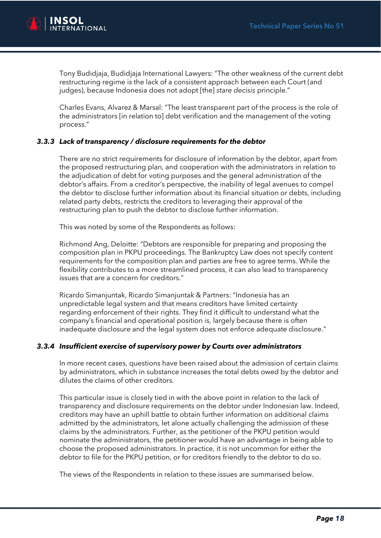

Tony Budidjaja, Budidjaja International Lawyers: "The other weakness of the current debt restructuring regime is the lack of a consistent approach between each Court (and judges), because Indonesia does not adopt [the] *stare decisis* principle."

Charles Evans, Alvarez & Marsal: "The least transparent part of the process is the role of the administrators [in relation to] debt verification and the management of the voting process."

#### *3.3.3 Lack of transparency / disclosure requirements for the debtor*

There are no strict requirements for disclosure of information by the debtor, apart from the proposed restructuring plan, and cooperation with the administrators in relation to the adjudication of debt for voting purposes and the general administration of the debtor's affairs. From a creditor's perspective, the inability of legal avenues to compel the debtor to disclose further information about its financial situation or debts, including related party debts, restricts the creditors to leveraging their approval of the restructuring plan to push the debtor to disclose further information.

This was noted by some of the Respondents as follows:

Richmond Ang, Deloitte: "Debtors are responsible for preparing and proposing the composition plan in PKPU proceedings. The Bankruptcy Law does not specify content requirements for the composition plan and parties are free to agree terms. While the flexibility contributes to a more streamlined process, it can also lead to transparency issues that are a concern for creditors."

Ricardo Simanjuntak, Ricardo Simanjuntak & Partners: "Indonesia has an unpredictable legal system and that means creditors have limited certainty regarding enforcement of their rights. They find it difficult to understand what the company's financial and operational position is, largely because there is often inadequate disclosure and the legal system does not enforce adequate disclosure."

#### *3.3.4 Insufficient exercise of supervisory power by Courts over administrators*

In more recent cases, questions have been raised about the admission of certain claims by administrators, which in substance increases the total debts owed by the debtor and dilutes the claims of other creditors.

This particular issue is closely tied in with the above point in relation to the lack of transparency and disclosure requirements on the debtor under Indonesian law. Indeed, creditors may have an uphill battle to obtain further information on additional claims admitted by the administrators, let alone actually challenging the admission of these claims by the administrators. Further, as the petitioner of the PKPU petition would nominate the administrators, the petitioner would have an advantage in being able to choose the proposed administrators. In practice, it is not uncommon for either the debtor to file for the PKPU petition, or for creditors friendly to the debtor to do so.

The views of the Respondents in relation to these issues are summarised below.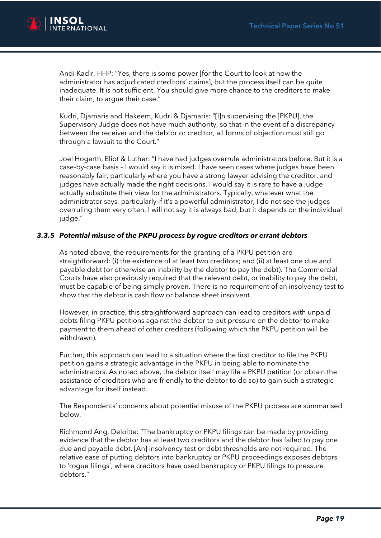

Andi Kadir, HHP: "Yes, there is some power [for the Court to look at how the administrator has adjudicated creditors' claims], but the process itself can be quite inadequate. It is not sufficient. You should give more chance to the creditors to make their claim, to argue their case."

Kudri, Djamaris and Hakeem, Kudri & Djamaris: "[I]n supervising the [PKPU], the Supervisory Judge does not have much authority, so that in the event of a discrepancy between the receiver and the debtor or creditor, all forms of objection must still go through a lawsuit to the Court."

Joel Hogarth, Eliot & Luther: "I have had judges overrule administrators before. But it is a case-by-case basis – I would say it is mixed. I have seen cases where judges have been reasonably fair, particularly where you have a strong lawyer advising the creditor, and judges have actually made the right decisions. I would say it is rare to have a judge actually substitute their view for the administrators. Typically, whatever what the administrator says, particularly if it's a powerful administrator, I do not see the judges overruling them very often. I will not say it is always bad, but it depends on the individual judge."

#### *3.3.5 Potential misuse of the PKPU process by rogue creditors or errant debtors*

As noted above, the requirements for the granting of a PKPU petition are straightforward: (i) the existence of at least two creditors; and (ii) at least one due and payable debt (or otherwise an inability by the debtor to pay the debt). The Commercial Courts have also previously required that the relevant debt, or inability to pay the debt, must be capable of being simply proven. There is no requirement of an insolvency test to show that the debtor is cash flow or balance sheet insolvent.

However, in practice, this straightforward approach can lead to creditors with unpaid debts filing PKPU petitions against the debtor to put pressure on the debtor to make payment to them ahead of other creditors (following which the PKPU petition will be withdrawn).

Further, this approach can lead to a situation where the first creditor to file the PKPU petition gains a strategic advantage in the PKPU in being able to nominate the administrators. As noted above, the debtor itself may file a PKPU petition (or obtain the assistance of creditors who are friendly to the debtor to do so) to gain such a strategic advantage for itself instead.

The Respondents' concerns about potential misuse of the PKPU process are summarised below.

Richmond Ang, Deloitte: "The bankruptcy or PKPU filings can be made by providing evidence that the debtor has at least two creditors and the debtor has failed to pay one due and payable debt. [An] insolvency test or debt thresholds are not required. The relative ease of putting debtors into bankruptcy or PKPU proceedings exposes debtors to 'rogue filings', where creditors have used bankruptcy or PKPU filings to pressure debtors."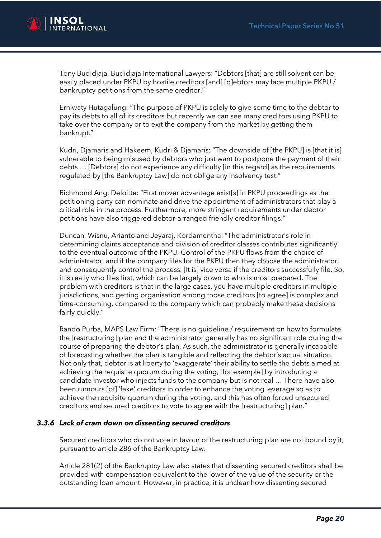

Tony Budidjaja, Budidjaja International Lawyers: "Debtors [that] are still solvent can be easily placed under PKPU by hostile creditors [and] [d]ebtors may face multiple PKPU / bankruptcy petitions from the same creditor."

Erniwaty Hutagalung: "The purpose of PKPU is solely to give some time to the debtor to pay its debts to all of its creditors but recently we can see many creditors using PKPU to take over the company or to exit the company from the market by getting them bankrupt."

Kudri, Djamaris and Hakeem, Kudri & Djamaris: "The downside of [the PKPU] is [that it is] vulnerable to being misused by debtors who just want to postpone the payment of their debts … [Debtors] do not experience any difficulty [in this regard] as the requirements regulated by [the Bankruptcy Law] do not oblige any insolvency test."

Richmond Ang, Deloitte: "First mover advantage exist[s] in PKPU proceedings as the petitioning party can nominate and drive the appointment of administrators that play a critical role in the process. Furthermore, more stringent requirements under debtor petitions have also triggered debtor-arranged friendly creditor filings."

Duncan, Wisnu, Arianto and Jeyaraj, Kordamentha: "The administrator's role in determining claims acceptance and division of creditor classes contributes significantly to the eventual outcome of the PKPU. Control of the PKPU flows from the choice of administrator, and if the company files for the PKPU then they choose the administrator, and consequently control the process. [It is] vice versa if the creditors successfully file. So, it is really who files first, which can be largely down to who is most prepared. The problem with creditors is that in the large cases, you have multiple creditors in multiple jurisdictions, and getting organisation among those creditors [to agree] is complex and time-consuming, compared to the company which can probably make these decisions fairly quickly."

Rando Purba, MAPS Law Firm: "There is no guideline / requirement on how to formulate the [restructuring] plan and the administrator generally has no significant role during the course of preparing the debtor's plan. As such, the administrator is generally incapable of forecasting whether the plan is tangible and reflecting the debtor's actual situation. Not only that, debtor is at liberty to 'exaggerate' their ability to settle the debts aimed at achieving the requisite quorum during the voting, [for example] by introducing a candidate investor who injects funds to the company but is not real … There have also been rumours [of] 'fake' creditors in order to enhance the voting leverage so as to achieve the requisite quorum during the voting, and this has often forced unsecured creditors and secured creditors to vote to agree with the [restructuring] plan."

#### *3.3.6 Lack of cram down on dissenting secured creditors*

Secured creditors who do not vote in favour of the restructuring plan are not bound by it, pursuant to article 286 of the Bankruptcy Law.

Article 281(2) of the Bankruptcy Law also states that dissenting secured creditors shall be provided with compensation equivalent to the lower of the value of the security or the outstanding loan amount. However, in practice, it is unclear how dissenting secured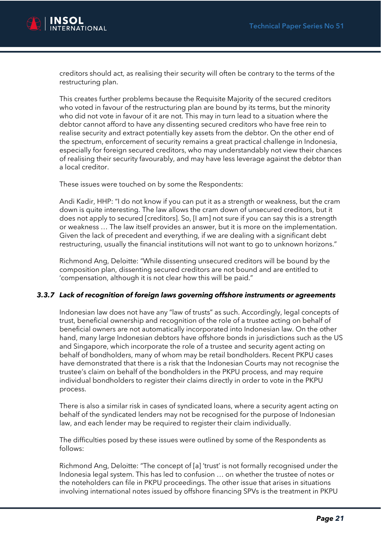

creditors should act, as realising their security will often be contrary to the terms of the restructuring plan.

This creates further problems because the Requisite Majority of the secured creditors who voted in favour of the restructuring plan are bound by its terms, but the minority who did not vote in favour of it are not. This may in turn lead to a situation where the debtor cannot afford to have any dissenting secured creditors who have free rein to realise security and extract potentially key assets from the debtor. On the other end of the spectrum, enforcement of security remains a great practical challenge in Indonesia, especially for foreign secured creditors, who may understandably not view their chances of realising their security favourably, and may have less leverage against the debtor than a local creditor.

These issues were touched on by some the Respondents:

Andi Kadir, HHP: "I do not know if you can put it as a strength or weakness, but the cram down is quite interesting. The law allows the cram down of unsecured creditors, but it does not apply to secured [creditors]. So, [I am] not sure if you can say this is a strength or weakness … The law itself provides an answer, but it is more on the implementation. Given the lack of precedent and everything, if we are dealing with a significant debt restructuring, usually the financial institutions will not want to go to unknown horizons."

Richmond Ang, Deloitte: "While dissenting unsecured creditors will be bound by the composition plan, dissenting secured creditors are not bound and are entitled to 'compensation, although it is not clear how this will be paid."

#### *3.3.7 Lack of recognition of foreign laws governing offshore instruments or agreements*

Indonesian law does not have any "law of trusts" as such. Accordingly, legal concepts of trust, beneficial ownership and recognition of the role of a trustee acting on behalf of beneficial owners are not automatically incorporated into Indonesian law. On the other hand, many large Indonesian debtors have offshore bonds in jurisdictions such as the US and Singapore, which incorporate the role of a trustee and security agent acting on behalf of bondholders, many of whom may be retail bondholders. Recent PKPU cases have demonstrated that there is a risk that the Indonesian Courts may not recognise the trustee's claim on behalf of the bondholders in the PKPU process, and may require individual bondholders to register their claims directly in order to vote in the PKPU process.

There is also a similar risk in cases of syndicated loans, where a security agent acting on behalf of the syndicated lenders may not be recognised for the purpose of Indonesian law, and each lender may be required to register their claim individually.

The difficulties posed by these issues were outlined by some of the Respondents as follows:

Richmond Ang, Deloitte: "The concept of [a] 'trust' is not formally recognised under the Indonesia legal system. This has led to confusion … on whether the trustee of notes or the noteholders can file in PKPU proceedings. The other issue that arises in situations involving international notes issued by offshore financing SPVs is the treatment in PKPU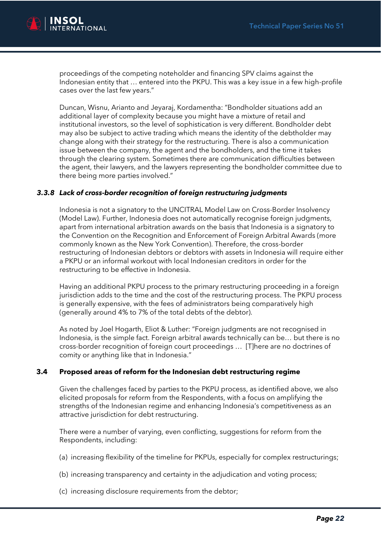

proceedings of the competing noteholder and financing SPV claims against the Indonesian entity that … entered into the PKPU. This was a key issue in a few high-profile cases over the last few years."

Duncan, Wisnu, Arianto and Jeyaraj, Kordamentha: "Bondholder situations add an additional layer of complexity because you might have a mixture of retail and institutional investors, so the level of sophistication is very different. Bondholder debt may also be subject to active trading which means the identity of the debtholder may change along with their strategy for the restructuring. There is also a communication issue between the company, the agent and the bondholders, and the time it takes through the clearing system. Sometimes there are communication difficulties between the agent, their lawyers, and the lawyers representing the bondholder committee due to there being more parties involved."

#### *3.3.8 Lack of cross-border recognition of foreign restructuring judgments*

Indonesia is not a signatory to the UNCITRAL Model Law on Cross-Border Insolvency (Model Law). Further, Indonesia does not automatically recognise foreign judgments, apart from international arbitration awards on the basis that Indonesia is a signatory to the Convention on the Recognition and Enforcement of Foreign Arbitral Awards (more commonly known as the New York Convention). Therefore, the cross-border restructuring of Indonesian debtors or debtors with assets in Indonesia will require either a PKPU or an informal workout with local Indonesian creditors in order for the restructuring to be effective in Indonesia.

Having an additional PKPU process to the primary restructuring proceeding in a foreign jurisdiction adds to the time and the cost of the restructuring process. The PKPU process is generally expensive, with the fees of administrators being comparatively high (generally around 4% to 7% of the total debts of the debtor).

As noted by Joel Hogarth, Eliot & Luther: "Foreign judgments are not recognised in Indonesia, is the simple fact. Foreign arbitral awards technically can be… but there is no cross-border recognition of foreign court proceedings … [T]here are no doctrines of comity or anything like that in Indonesia."

#### **3.4 Proposed areas of reform for the Indonesian debt restructuring regime**

Given the challenges faced by parties to the PKPU process, as identified above, we also elicited proposals for reform from the Respondents, with a focus on amplifying the strengths of the Indonesian regime and enhancing Indonesia's competitiveness as an attractive jurisdiction for debt restructuring.

There were a number of varying, even conflicting, suggestions for reform from the Respondents, including:

- (a) increasing flexibility of the timeline for PKPUs, especially for complex restructurings;
- (b) increasing transparency and certainty in the adjudication and voting process;
- (c) increasing disclosure requirements from the debtor;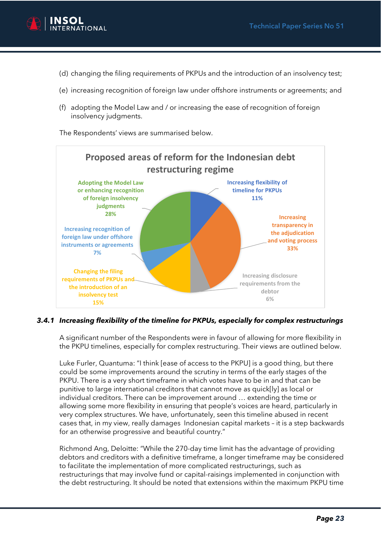

- (d) changing the filing requirements of PKPUs and the introduction of an insolvency test;
- (e) increasing recognition of foreign law under offshore instruments or agreements; and
- (f) adopting the Model Law and / or increasing the ease of recognition of foreign insolvency judgments.

The Respondents' views are summarised below.



#### *3.4.1 Increasing flexibility of the timeline for PKPUs, especially for complex restructurings*

A significant number of the Respondents were in favour of allowing for more flexibility in the PKPU timelines, especially for complex restructuring. Their views are outlined below.

Luke Furler, Quantuma: "I think [ease of access to the PKPU] is a good thing, but there could be some improvements around the scrutiny in terms of the early stages of the PKPU. There is a very short timeframe in which votes have to be in and that can be punitive to large international creditors that cannot move as quick[ly] as local or individual creditors. There can be improvement around … extending the time or allowing some more flexibility in ensuring that people's voices are heard, particularly in very complex structures. We have, unfortunately, seen this timeline abused in recent cases that, in my view, really damages Indonesian capital markets – it is a step backwards for an otherwise progressive and beautiful country."

Richmond Ang, Deloitte: "While the 270-day time limit has the advantage of providing debtors and creditors with a definitive timeframe, a longer timeframe may be considered to facilitate the implementation of more complicated restructurings, such as restructurings that may involve fund or capital-raisings implemented in conjunction with the debt restructuring. It should be noted that extensions within the maximum PKPU time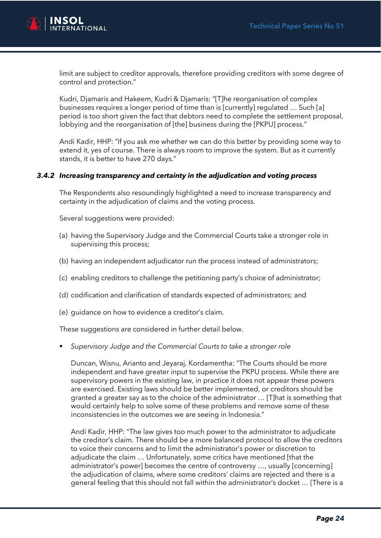

limit are subject to creditor approvals, therefore providing creditors with some degree of control and protection."

Kudri, Djamaris and Hakeem, Kudri & Djamaris: "[T]he reorganisation of complex businesses requires a longer period of time than is [currently] regulated … Such [a] period is too short given the fact that debtors need to complete the settlement proposal, lobbying and the reorganisation of [the] business during the [PKPU] process."

Andi Kadir, HHP: "If you ask me whether we can do this better by providing some way to extend it, yes of course. There is always room to improve the system. But as it currently stands, it is better to have 270 days."

#### *3.4.2 Increasing transparency and certainty in the adjudication and voting process*

The Respondents also resoundingly highlighted a need to increase transparency and certainty in the adjudication of claims and the voting process.

Several suggestions were provided:

- (a) having the Supervisory Judge and the Commercial Courts take a stronger role in supervising this process;
- (b) having an independent adjudicator run the process instead of administrators;
- (c) enabling creditors to challenge the petitioning party's choice of administrator;
- (d) codification and clarification of standards expected of administrators; and
- (e) guidance on how to evidence a creditor's claim.

These suggestions are considered in further detail below.

Supervisory Judge and the Commercial Courts to take a stronger role

Duncan, Wisnu, Arianto and Jeyaraj, Kordamentha: "The Courts should be more independent and have greater input to supervise the PKPU process. While there are supervisory powers in the existing law, in practice it does not appear these powers are exercised. Existing laws should be better implemented, or creditors should be granted a greater say as to the choice of the administrator … [T]hat is something that would certainly help to solve some of these problems and remove some of these inconsistencies in the outcomes we are seeing in Indonesia."

Andi Kadir, HHP: "The law gives too much power to the administrator to adjudicate the creditor's claim. There should be a more balanced protocol to allow the creditors to voice their concerns and to limit the administrator's power or discretion to adjudicate the claim … Unfortunately, some critics have mentioned [that the administrator's power] becomes the centre of controversy …, usually [concerning] the adjudication of claims, where some creditors' claims are rejected and there is a general feeling that this should not fall within the administrator's docket … [There is a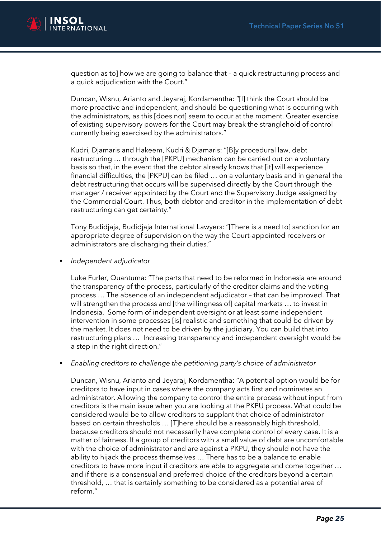

question as to] how we are going to balance that – a quick restructuring process and a quick adjudication with the Court."

Duncan, Wisnu, Arianto and Jeyaraj, Kordamentha: "[I] think the Court should be more proactive and independent, and should be questioning what is occurring with the administrators, as this [does not] seem to occur at the moment. Greater exercise of existing supervisory powers for the Court may break the stranglehold of control currently being exercised by the administrators."

Kudri, Djamaris and Hakeem, Kudri & Djamaris: "[B]y procedural law, debt restructuring … through the [PKPU] mechanism can be carried out on a voluntary basis so that, in the event that the debtor already knows that [it] will experience financial difficulties, the [PKPU] can be filed … on a voluntary basis and in general the debt restructuring that occurs will be supervised directly by the Court through the manager / receiver appointed by the Court and the Supervisory Judge assigned by the Commercial Court. Thus, both debtor and creditor in the implementation of debt restructuring can get certainty."

Tony Budidjaja, Budidjaja International Lawyers: "[There is a need to] sanction for an appropriate degree of supervision on the way the Court-appointed receivers or administrators are discharging their duties."

▪ *Independent adjudicator*

Luke Furler, Quantuma: "The parts that need to be reformed in Indonesia are around the transparency of the process, particularly of the creditor claims and the voting process … The absence of an independent adjudicator – that can be improved. That will strengthen the process and [the willingness of] capital markets … to invest in Indonesia. Some form of independent oversight or at least some independent intervention in some processes [is] realistic and something that could be driven by the market. It does not need to be driven by the judiciary. You can build that into restructuring plans … Increasing transparency and independent oversight would be a step in the right direction."

▪ *Enabling creditors to challenge the petitioning party's choice of administrator*

Duncan, Wisnu, Arianto and Jeyaraj, Kordamentha: "A potential option would be for creditors to have input in cases where the company acts first and nominates an administrator. Allowing the company to control the entire process without input from creditors is the main issue when you are looking at the PKPU process. What could be considered would be to allow creditors to supplant that choice of administrator based on certain thresholds … [T]here should be a reasonably high threshold, because creditors should not necessarily have complete control of every case. It is a matter of fairness. If a group of creditors with a small value of debt are uncomfortable with the choice of administrator and are against a PKPU, they should not have the ability to hijack the process themselves … There has to be a balance to enable creditors to have more input if creditors are able to aggregate and come together … and if there is a consensual and preferred choice of the creditors beyond a certain threshold, … that is certainly something to be considered as a potential area of reform."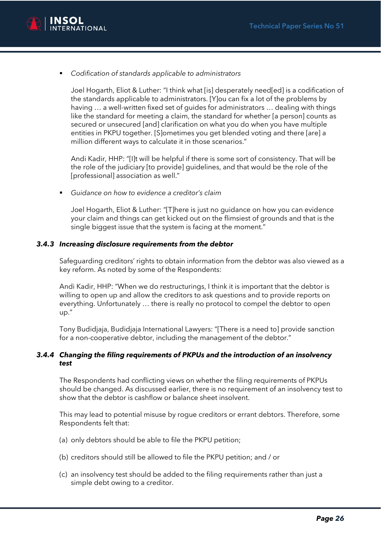

▪ *Codification of standards applicable to administrators*

Joel Hogarth, Eliot & Luther: "I think what [is] desperately need[ed] is a codification of the standards applicable to administrators. [Y]ou can fix a lot of the problems by having … a well-written fixed set of guides for administrators … dealing with things like the standard for meeting a claim, the standard for whether [a person] counts as secured or unsecured [and] clarification on what you do when you have multiple entities in PKPU together. [S]ometimes you get blended voting and there [are] a million different ways to calculate it in those scenarios."

Andi Kadir, HHP: "[I]t will be helpful if there is some sort of consistency. That will be the role of the judiciary [to provide] guidelines, and that would be the role of the [professional] association as well."

▪ *Guidance on how to evidence a creditor's claim*

Joel Hogarth, Eliot & Luther: "[T]here is just no guidance on how you can evidence your claim and things can get kicked out on the flimsiest of grounds and that is the single biggest issue that the system is facing at the moment."

#### *3.4.3 Increasing disclosure requirements from the debtor*

Safeguarding creditors' rights to obtain information from the debtor was also viewed as a key reform. As noted by some of the Respondents:

Andi Kadir, HHP: "When we do restructurings, I think it is important that the debtor is willing to open up and allow the creditors to ask questions and to provide reports on everything. Unfortunately … there is really no protocol to compel the debtor to open up."

Tony Budidjaja, Budidjaja International Lawyers: "[There is a need to] provide sanction for a non-cooperative debtor, including the management of the debtor."

#### *3.4.4 Changing the filing requirements of PKPUs and the introduction of an insolvency test*

The Respondents had conflicting views on whether the filing requirements of PKPUs should be changed. As discussed earlier, there is no requirement of an insolvency test to show that the debtor is cashflow or balance sheet insolvent.

This may lead to potential misuse by rogue creditors or errant debtors. Therefore, some Respondents felt that:

- (a) only debtors should be able to file the PKPU petition;
- (b) creditors should still be allowed to file the PKPU petition; and / or
- (c) an insolvency test should be added to the filing requirements rather than just a simple debt owing to a creditor.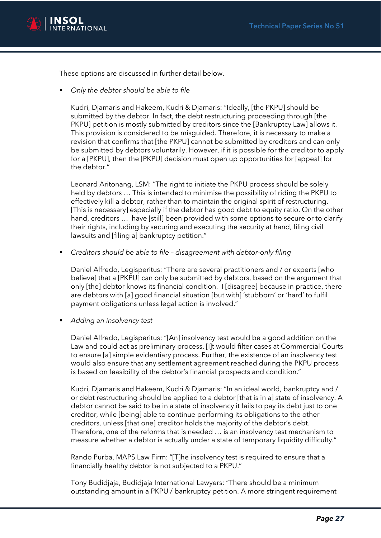

These options are discussed in further detail below.

▪ *Only the debtor should be able to file*

Kudri, Djamaris and Hakeem, Kudri & Djamaris: "Ideally, [the PKPU] should be submitted by the debtor. In fact, the debt restructuring proceeding through [the PKPU] petition is mostly submitted by creditors since the [Bankruptcy Law] allows it. This provision is considered to be misguided. Therefore, it is necessary to make a revision that confirms that [the PKPU] cannot be submitted by creditors and can only be submitted by debtors voluntarily. However, if it is possible for the creditor to apply for a [PKPU], then the [PKPU] decision must open up opportunities for [appeal] for the debtor."

Leonard Aritonang, LSM: "The right to initiate the PKPU process should be solely held by debtors … This is intended to minimise the possibility of riding the PKPU to effectively kill a debtor, rather than to maintain the original spirit of restructuring. [This is necessary] especially if the debtor has good debt to equity ratio. On the other hand, creditors ... have [still] been provided with some options to secure or to clarify their rights, including by securing and executing the security at hand, filing civil lawsuits and [filing a] bankruptcy petition."

▪ *Creditors should be able to file – disagreement with debtor-only filing*

Daniel Alfredo, Legisperitus: "There are several practitioners and / or experts [who believe] that a [PKPU] can only be submitted by debtors, based on the argument that only [the] debtor knows its financial condition. I [disagree] because in practice, there are debtors with [a] good financial situation [but with] 'stubborn' or 'hard' to fulfil payment obligations unless legal action is involved."

▪ *Adding an insolvency test*

Daniel Alfredo, Legisperitus: "[An] insolvency test would be a good addition on the Law and could act as preliminary process. [I]t would filter cases at Commercial Courts to ensure [a] simple evidentiary process. Further, the existence of an insolvency test would also ensure that any settlement agreement reached during the PKPU process is based on feasibility of the debtor's financial prospects and condition."

Kudri, Djamaris and Hakeem, Kudri & Djamaris: "In an ideal world, bankruptcy and / or debt restructuring should be applied to a debtor [that is in a] state of insolvency. A debtor cannot be said to be in a state of insolvency it fails to pay its debt just to one creditor, while [being] able to continue performing its obligations to the other creditors, unless [that one] creditor holds the majority of the debtor's debt. Therefore, one of the reforms that is needed … is an insolvency test mechanism to measure whether a debtor is actually under a state of temporary liquidity difficulty."

Rando Purba, MAPS Law Firm: "[T]he insolvency test is required to ensure that a financially healthy debtor is not subjected to a PKPU."

Tony Budidjaja, Budidjaja International Lawyers: "There should be a minimum outstanding amount in a PKPU / bankruptcy petition. A more stringent requirement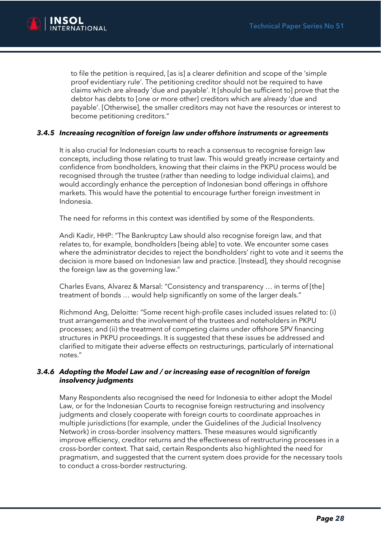

to file the petition is required, [as is] a clearer definition and scope of the 'simple proof evidentiary rule'. The petitioning creditor should not be required to have claims which are already 'due and payable'. It [should be sufficient to] prove that the debtor has debts to [one or more other] creditors which are already 'due and payable'. [Otherwise], the smaller creditors may not have the resources or interest to become petitioning creditors."

#### *3.4.5 Increasing recognition of foreign law under offshore instruments or agreements*

It is also crucial for Indonesian courts to reach a consensus to recognise foreign law concepts, including those relating to trust law. This would greatly increase certainty and confidence from bondholders, knowing that their claims in the PKPU process would be recognised through the trustee (rather than needing to lodge individual claims), and would accordingly enhance the perception of Indonesian bond offerings in offshore markets. This would have the potential to encourage further foreign investment in Indonesia.

The need for reforms in this context was identified by some of the Respondents.

Andi Kadir, HHP: "The Bankruptcy Law should also recognise foreign law, and that relates to, for example, bondholders [being able] to vote. We encounter some cases where the administrator decides to reject the bondholders' right to vote and it seems the decision is more based on Indonesian law and practice. [Instead], they should recognise the foreign law as the governing law."

Charles Evans, Alvarez & Marsal: "Consistency and transparency … in terms of [the] treatment of bonds … would help significantly on some of the larger deals."

Richmond Ang, Deloitte: "Some recent high-profile cases included issues related to: (i) trust arrangements and the involvement of the trustees and noteholders in PKPU processes; and (ii) the treatment of competing claims under offshore SPV financing structures in PKPU proceedings. It is suggested that these issues be addressed and clarified to mitigate their adverse effects on restructurings, particularly of international notes."

#### *3.4.6 Adopting the Model Law and / or increasing ease of recognition of foreign insolvency judgments*

Many Respondents also recognised the need for Indonesia to either adopt the Model Law, or for the Indonesian Courts to recognise foreign restructuring and insolvency judgments and closely cooperate with foreign courts to coordinate approaches in multiple jurisdictions (for example, under the Guidelines of the Judicial Insolvency Network) in cross-border insolvency matters. These measures would significantly improve efficiency, creditor returns and the effectiveness of restructuring processes in a cross-border context. That said, certain Respondents also highlighted the need for pragmatism, and suggested that the current system does provide for the necessary tools to conduct a cross-border restructuring.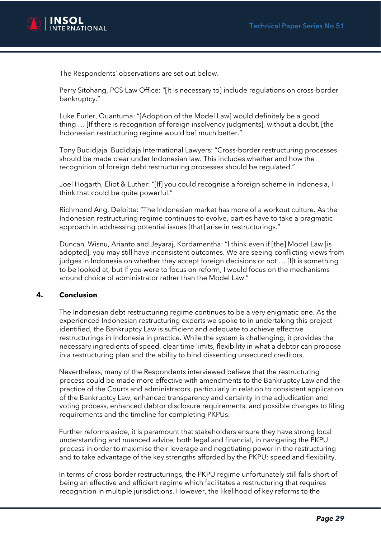

The Respondents' observations are set out below.

Perry Sitohang, PCS Law Office: "[It is necessary to] include regulations on cross-border bankruptcy."

Luke Furler, Quantuma: "[Adoption of the Model Law] would definitely be a good thing … [If there is recognition of foreign insolvency judgments], without a doubt, [the Indonesian restructuring regime would be] much better."

Tony Budidjaja, Budidjaja International Lawyers: "Cross-border restructuring processes should be made clear under Indonesian law. This includes whether and how the recognition of foreign debt restructuring processes should be regulated."

Joel Hogarth, Eliot & Luther: "[If] you could recognise a foreign scheme in Indonesia, I think that could be quite powerful."

Richmond Ang, Deloitte: "The Indonesian market has more of a workout culture. As the Indonesian restructuring regime continues to evolve, parties have to take a pragmatic approach in addressing potential issues [that] arise in restructurings."

Duncan, Wisnu, Arianto and Jeyaraj, Kordamentha: "I think even if [the] Model Law [is adopted], you may still have inconsistent outcomes. We are seeing conflicting views from judges in Indonesia on whether they accept foreign decisions or not … [I]t is something to be looked at, but if you were to focus on reform, I would focus on the mechanisms around choice of administrator rather than the Model Law."

#### **4. Conclusion**

The Indonesian debt restructuring regime continues to be a very enigmatic one. As the experienced Indonesian restructuring experts we spoke to in undertaking this project identified, the Bankruptcy Law is sufficient and adequate to achieve effective restructurings in Indonesia in practice. While the system is challenging, it provides the necessary ingredients of speed, clear time limits, flexibility in what a debtor can propose in a restructuring plan and the ability to bind dissenting unsecured creditors.

Nevertheless, many of the Respondents interviewed believe that the restructuring process could be made more effective with amendments to the Bankruptcy Law and the practice of the Courts and administrators, particularly in relation to consistent application of the Bankruptcy Law, enhanced transparency and certainty in the adjudication and voting process, enhanced debtor disclosure requirements, and possible changes to filing requirements and the timeline for completing PKPUs.

Further reforms aside, it is paramount that stakeholders ensure they have strong local understanding and nuanced advice, both legal and financial, in navigating the PKPU process in order to maximise their leverage and negotiating power in the restructuring and to take advantage of the key strengths afforded by the PKPU: speed and flexibility.

In terms of cross-border restructurings, the PKPU regime unfortunately still falls short of being an effective and efficient regime which facilitates a restructuring that requires recognition in multiple jurisdictions. However, the likelihood of key reforms to the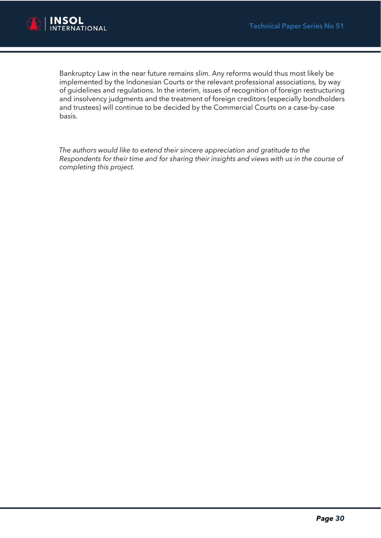

Bankruptcy Law in the near future remains slim. Any reforms would thus most likely be implemented by the Indonesian Courts or the relevant professional associations, by way of guidelines and regulations. In the interim, issues of recognition of foreign restructuring and insolvency judgments and the treatment of foreign creditors (especially bondholders and trustees) will continue to be decided by the Commercial Courts on a case-by-case basis.

*The authors would like to extend their sincere appreciation and gratitude to the Respondents for their time and for sharing their insights and views with us in the course of completing this project.*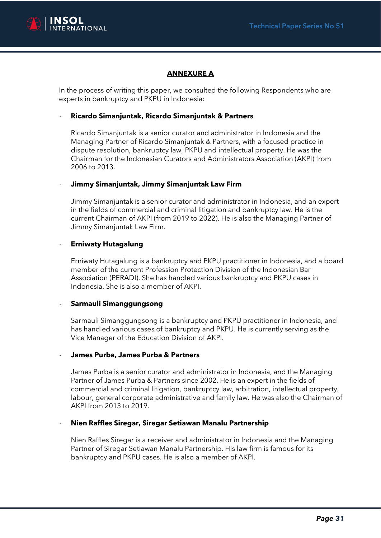

### **ANNEXURE A**

In the process of writing this paper, we consulted the following Respondents who are experts in bankruptcy and PKPU in Indonesia:

#### - **Ricardo Simanjuntak, Ricardo Simanjuntak & Partners**

Ricardo Simanjuntak is a senior curator and administrator in Indonesia and the Managing Partner of Ricardo Simanjuntak & Partners, with a focused practice in dispute resolution, bankruptcy law, PKPU and intellectual property. He was the Chairman for the Indonesian Curators and Administrators Association (AKPI) from 2006 to 2013.

#### - **Jimmy Simanjuntak, Jimmy Simanjuntak Law Firm**

Jimmy Simanjuntak is a senior curator and administrator in Indonesia, and an expert in the fields of commercial and criminal litigation and bankruptcy law. He is the current Chairman of AKPI (from 2019 to 2022). He is also the Managing Partner of Jimmy Simanjuntak Law Firm.

#### - **Erniwaty Hutagalung**

Erniwaty Hutagalung is a bankruptcy and PKPU practitioner in Indonesia, and a board member of the current Profession Protection Division of the Indonesian Bar Association (PERADI). She has handled various bankruptcy and PKPU cases in Indonesia. She is also a member of AKPI.

#### - **Sarmauli Simanggungsong**

Sarmauli Simanggungsong is a bankruptcy and PKPU practitioner in Indonesia, and has handled various cases of bankruptcy and PKPU. He is currently serving as the Vice Manager of the Education Division of AKPI.

#### - **James Purba, James Purba & Partners**

James Purba is a senior curator and administrator in Indonesia, and the Managing Partner of James Purba & Partners since 2002. He is an expert in the fields of commercial and criminal litigation, bankruptcy law, arbitration, intellectual property, labour, general corporate administrative and family law. He was also the Chairman of AKPI from 2013 to 2019.

#### - **Nien Raffles Siregar, Siregar Setiawan Manalu Partnership**

Nien Raffles Siregar is a receiver and administrator in Indonesia and the Managing Partner of Siregar Setiawan Manalu Partnership. His law firm is famous for its bankruptcy and PKPU cases. He is also a member of AKPI.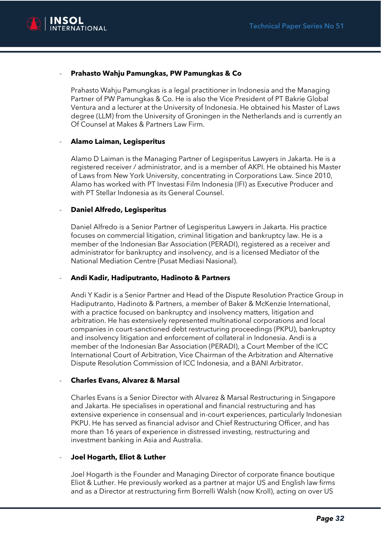

#### - **Prahasto Wahju Pamungkas, PW Pamungkas & Co**

Prahasto Wahju Pamungkas is a legal practitioner in Indonesia and the Managing Partner of PW Pamungkas & Co. He is also the Vice President of PT Bakrie Global Ventura and a lecturer at the University of Indonesia. He obtained his Master of Laws degree (LLM) from the University of Groningen in the Netherlands and is currently an Of Counsel at Makes & Partners Law Firm.

#### - **Alamo Laiman, Legisperitus**

Alamo D Laiman is the Managing Partner of Legisperitus Lawyers in Jakarta. He is a registered receiver / administrator, and is a member of AKPI. He obtained his Master of Laws from New York University, concentrating in Corporations Law. Since 2010, Alamo has worked with PT Investasi Film Indonesia (IFI) as Executive Producer and with PT Stellar Indonesia as its General Counsel.

#### - **Daniel Alfredo, Legisperitus**

Daniel Alfredo is a Senior Partner of Legisperitus Lawyers in Jakarta. His practice focuses on commercial litigation, criminal litigation and bankruptcy law. He is a member of the Indonesian Bar Association (PERADI), registered as a receiver and administrator for bankruptcy and insolvency, and is a licensed Mediator of the National Mediation Centre (Pusat Mediasi Nasional).

#### - **Andi Kadir, Hadiputranto, Hadinoto & Partners**

Andi Y Kadir is a Senior Partner and Head of the Dispute Resolution Practice Group in Hadiputranto, Hadinoto & Partners, a member of Baker & McKenzie International, with a practice focused on bankruptcy and insolvency matters, litigation and arbitration. He has extensively represented multinational corporations and local companies in court-sanctioned debt restructuring proceedings (PKPU), bankruptcy and insolvency litigation and enforcement of collateral in Indonesia. Andi is a member of the Indonesian Bar Association (PERADI), a Court Member of the ICC International Court of Arbitration, Vice Chairman of the Arbitration and Alternative Dispute Resolution Commission of ICC Indonesia, and a BANI Arbitrator.

#### - **Charles Evans, Alvarez & Marsal**

Charles Evans is a Senior Director with Alvarez & Marsal Restructuring in Singapore and Jakarta. He specialises in operational and financial restructuring and has extensive experience in consensual and in-court experiences, particularly Indonesian PKPU. He has served as financial advisor and Chief Restructuring Officer, and has more than 16 years of experience in distressed investing, restructuring and investment banking in Asia and Australia.

#### - **Joel Hogarth, Eliot & Luther**

Joel Hogarth is the Founder and Managing Director of corporate finance boutique Eliot & Luther. He previously worked as a partner at major US and English law firms and as a Director at restructuring firm Borrelli Walsh (now Kroll), acting on over US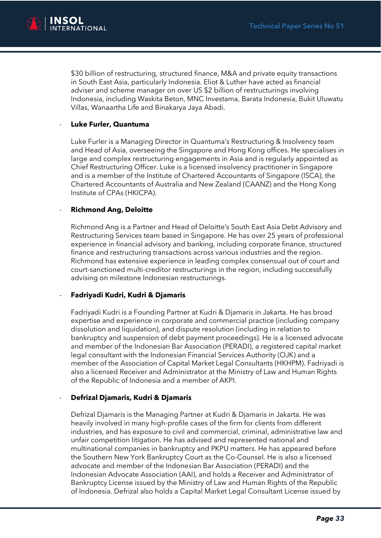

\$30 billion of restructuring, structured finance, M&A and private equity transactions in South East Asia, particularly Indonesia. Eliot & Luther have acted as financial adviser and scheme manager on over US \$2 billion of restructurings involving Indonesia, including Waskita Beton, MNC Investama, Barata Indonesia, Bukit Uluwatu Villas, Wanaartha Life and Binakarya Jaya Abadi.

#### - **Luke Furler, Quantuma**

Luke Furler is a Managing Director in Quantuma's Restructuring & Insolvency team and Head of Asia, overseeing the Singapore and Hong Kong offices. He specialises in large and complex restructuring engagements in Asia and is regularly appointed as Chief Restructuring Officer. Luke is a licensed insolvency practitioner in Singapore and is a member of the Institute of Chartered Accountants of Singapore (ISCA), the Chartered Accountants of Australia and New Zealand (CAANZ) and the Hong Kong Institute of CPAs (HKICPA).

#### - **Richmond Ang, Deloitte**

Richmond Ang is a Partner and Head of Deloitte's South East Asia Debt Advisory and Restructuring Services team based in Singapore. He has over 25 years of professional experience in financial advisory and banking, including corporate finance, structured finance and restructuring transactions across various industries and the region. Richmond has extensive experience in leading complex consensual out of court and court-sanctioned multi-creditor restructurings in the region, including successfully advising on milestone Indonesian restructurings.

#### - **Fadriyadi Kudri, Kudri & Djamaris**

Fadriyadi Kudri is a Founding Partner at Kudri & Djamaris in Jakarta. He has broad expertise and experience in corporate and commercial practice (including company dissolution and liquidation), and dispute resolution (including in relation to bankruptcy and suspension of debt payment proceedings). He is a licensed advocate and member of the Indonesian Bar Association (PERADI), a registered capital market legal consultant with the Indonesian Financial Services Authority (OJK) and a member of the Association of Capital Market Legal Consultants (HKHPM). Fadriyadi is also a licensed Receiver and Administrator at the Ministry of Law and Human Rights of the Republic of Indonesia and a member of AKPI.

#### - **Defrizal Djamaris, Kudri & Djamaris**

Defrizal Djamaris is the Managing Partner at Kudri & Djamaris in Jakarta. He was heavily involved in many high-profile cases of the firm for clients from different industries, and has exposure to civil and commercial, criminal, administrative law and unfair competition litigation. He has advised and represented national and multinational companies in bankruptcy and PKPU matters. He has appeared before the Southern New York Bankruptcy Court as the Co-Counsel. He is also a licensed advocate and member of the Indonesian Bar Association (PERADI) and the Indonesian Advocate Association (AAI), and holds a Receiver and Administrator of Bankruptcy License issued by the Ministry of Law and Human Rights of the Republic of Indonesia. Defrizal also holds a Capital Market Legal Consultant License issued by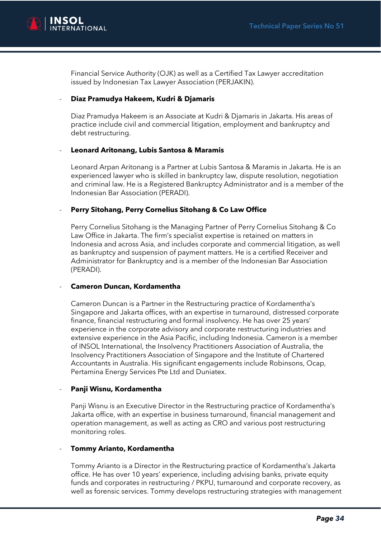

Financial Service Authority (OJK) as well as a Certified Tax Lawyer accreditation issued by Indonesian Tax Lawyer Association (PERJAKIN).

#### - **Diaz Pramudya Hakeem, Kudri & Djamaris**

Diaz Pramudya Hakeem is an Associate at Kudri & Djamaris in Jakarta. His areas of practice include civil and commercial litigation, employment and bankruptcy and debt restructuring.

#### - **Leonard Aritonang, Lubis Santosa & Maramis**

Leonard Arpan Aritonang is a Partner at Lubis Santosa & Maramis in Jakarta. He is an experienced lawyer who is skilled in bankruptcy law, dispute resolution, negotiation and criminal law. He is a Registered Bankruptcy Administrator and is a member of the Indonesian Bar Association (PERADI).

#### - **Perry Sitohang, Perry Cornelius Sitohang & Co Law Office**

Perry Cornelius Sitohang is the Managing Partner of Perry Cornelius Sitohang & Co Law Office in Jakarta. The firm's specialist expertise is retained on matters in Indonesia and across Asia, and includes corporate and commercial litigation, as well as bankruptcy and suspension of payment matters. He is a certified Receiver and Administrator for Bankruptcy and is a member of the Indonesian Bar Association (PERADI).

#### - **Cameron Duncan, Kordamentha**

Cameron Duncan is a Partner in the Restructuring practice of Kordamentha's Singapore and Jakarta offices, with an expertise in turnaround, distressed corporate finance, financial restructuring and formal insolvency. He has over 25 years' experience in the corporate advisory and corporate restructuring industries and extensive experience in the Asia Pacific, including Indonesia. Cameron is a member of INSOL International, the Insolvency Practitioners Association of Australia, the Insolvency Practitioners Association of Singapore and the Institute of Chartered Accountants in Australia. His significant engagements include Robinsons, Ocap, Pertamina Energy Services Pte Ltd and Duniatex.

#### - **Panji Wisnu, Kordamentha**

Panji Wisnu is an Executive Director in the Restructuring practice of Kordamentha's Jakarta office, with an expertise in business turnaround, financial management and operation management, as well as acting as CRO and various post restructuring monitoring roles.

#### - **Tommy Arianto, Kordamentha**

Tommy Arianto is a Director in the Restructuring practice of Kordamentha's Jakarta office. He has over 10 years' experience, including advising banks, private equity funds and corporates in restructuring / PKPU, turnaround and corporate recovery, as well as forensic services. Tommy develops restructuring strategies with management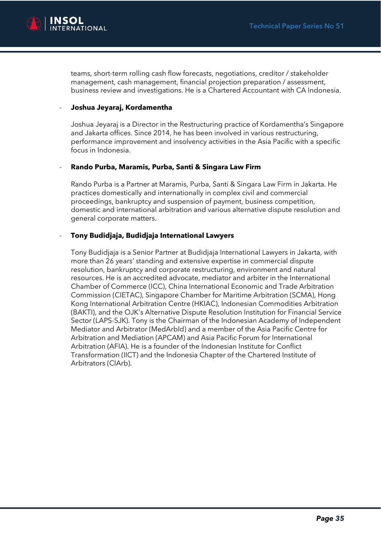

teams, short-term rolling cash flow forecasts, negotiations, creditor / stakeholder management, cash management, financial projection preparation / assessment, business review and investigations. He is a Chartered Accountant with CA Indonesia.

#### - **Joshua Jeyaraj, Kordamentha**

Joshua Jeyaraj is a Director in the Restructuring practice of Kordamentha's Singapore and Jakarta offices. Since 2014, he has been involved in various restructuring, performance improvement and insolvency activities in the Asia Pacific with a specific focus in Indonesia.

#### - **Rando Purba, Maramis, Purba, Santi & Singara Law Firm**

Rando Purba is a Partner at Maramis, Purba, Santi & Singara Law Firm in Jakarta. He practices domestically and internationally in complex civil and commercial proceedings, bankruptcy and suspension of payment, business competition, domestic and international arbitration and various alternative dispute resolution and general corporate matters.

#### - **Tony Budidjaja, Budidjaja International Lawyers**

Tony Budidjaja is a Senior Partner at Budidjaja International Lawyers in Jakarta, with more than 26 years' standing and extensive expertise in commercial dispute resolution, bankruptcy and corporate restructuring, environment and natural resources. He is an accredited advocate, mediator and arbiter in the International Chamber of Commerce (ICC), China International Economic and Trade Arbitration Commission (CIETAC), Singapore Chamber for Maritime Arbitration (SCMA), Hong Kong International Arbitration Centre (HKIAC), Indonesian Commodities Arbitration (BAKTI), and the OJK's Alternative Dispute Resolution Institution for Financial Service Sector (LAPS-SJK). Tony is the Chairman of the Indonesian Academy of Independent Mediator and Arbitrator (MedArbId) and a member of the Asia Pacific Centre for Arbitration and Mediation (APCAM) and Asia Pacific Forum for International Arbitration (AFIA). He is a founder of the Indonesian Institute for Conflict Transformation (IICT) and the Indonesia Chapter of the Chartered Institute of Arbitrators (CIArb).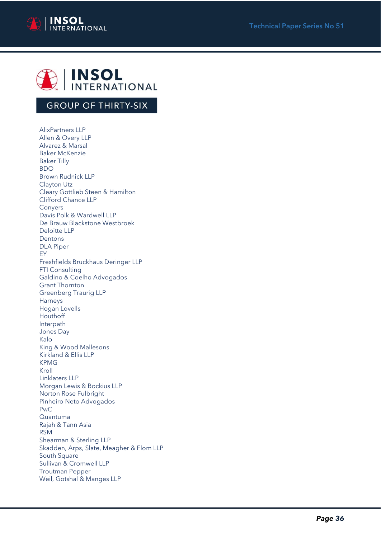



## **GROUP OF THIRTY-SIX**

AlixPartners LLP Allen & Overy LLP Alvarez & Marsal Baker McKenzie Baker Tilly BDO Brown Rudnick LLP Clayton Utz Cleary Gottlieb Steen & Hamilton Clifford Chance LLP Conyers Davis Polk & Wardwell LLP De Brauw Blackstone Westbroek Deloitte LLP Dentons DLA Piper EY Freshfields Bruckhaus Deringer LLP FTI Consulting Galdino & Coelho Advogados Grant Thornton Greenberg Traurig LLP Harneys Hogan Lovells Houthoff Interpath Jones Day Kalo King & Wood Mallesons Kirkland & Ellis LLP KPMG Kroll Linklaters LLP Morgan Lewis & Bockius LLP Norton Rose Fulbright Pinheiro Neto Advogados PwC Quantuma Rajah & Tann Asia RSM Shearman & Sterling LLP Skadden, Arps, Slate, Meagher & Flom LLP South Square Sullivan & Cromwell LLP Troutman Pepper Weil, Gotshal & Manges LLP